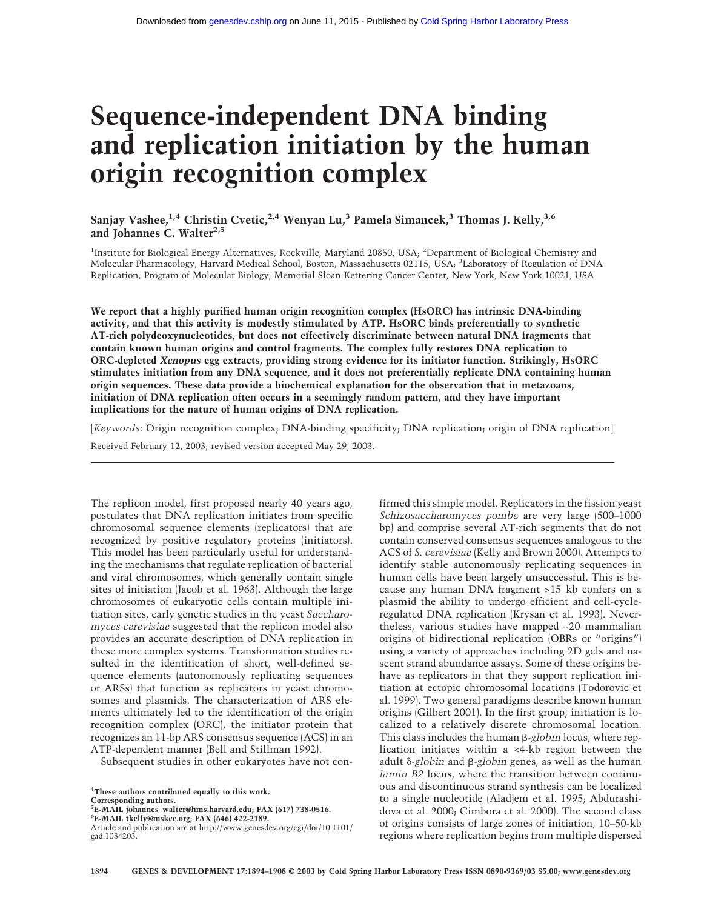# **Sequence-independent DNA binding and replication initiation by the human origin recognition complex**

# **Sanjay Vashee,1,4 Christin Cvetic,2,4 Wenyan Lu,<sup>3</sup> Pamela Simancek,3 Thomas J. Kelly,3,6** and Johannes C. Walter<sup>2,5</sup>

<sup>1</sup>Institute for Biological Energy Alternatives, Rockville, Maryland 20850, USA; <sup>2</sup>Department of Biological Chemistry and Molecular Pharmacology, Harvard Medical School, Boston, Massachusetts 02115, USA; <sup>3</sup>Laboratory of Regulation of DNA Replication, Program of Molecular Biology, Memorial Sloan-Kettering Cancer Center, New York, New York 10021, USA

**We report that a highly purified human origin recognition complex (HsORC) has intrinsic DNA-binding activity, and that this activity is modestly stimulated by ATP. HsORC binds preferentially to synthetic AT-rich polydeoxynucleotides, but does not effectively discriminate between natural DNA fragments that contain known human origins and control fragments. The complex fully restores DNA replication to ORC-depleted** *Xenopus* **egg extracts, providing strong evidence for its initiator function. Strikingly, HsORC stimulates initiation from any DNA sequence, and it does not preferentially replicate DNA containing human origin sequences. These data provide a biochemical explanation for the observation that in metazoans, initiation of DNA replication often occurs in a seemingly random pattern, and they have important implications for the nature of human origins of DNA replication.**

[*Keywords*: Origin recognition complex; DNA-binding specificity; DNA replication; origin of DNA replication]

Received February 12, 2003; revised version accepted May 29, 2003.

The replicon model, first proposed nearly 40 years ago, postulates that DNA replication initiates from specific chromosomal sequence elements (replicators) that are recognized by positive regulatory proteins (initiators). This model has been particularly useful for understanding the mechanisms that regulate replication of bacterial and viral chromosomes, which generally contain single sites of initiation (Jacob et al. 1963). Although the large chromosomes of eukaryotic cells contain multiple initiation sites, early genetic studies in the yeast *Saccharomyces cerevisiae* suggested that the replicon model also provides an accurate description of DNA replication in these more complex systems. Transformation studies resulted in the identification of short, well-defined sequence elements (autonomously replicating sequences or ARSs) that function as replicators in yeast chromosomes and plasmids. The characterization of ARS elements ultimately led to the identification of the origin recognition complex (ORC), the initiator protein that recognizes an 11-bp ARS consensus sequence (ACS) in an ATP-dependent manner (Bell and Stillman 1992).

Subsequent studies in other eukaryotes have not con-

**4 These authors contributed equally to this work. Corresponding authors.**

**5 E-MAIL johannes\_walter@hms.harvard.edu; FAX (617) 738-0516.**

**6 E-MAIL tkelly@mskcc.org; FAX (646) 422-2189.**

firmed this simple model. Replicators in the fission yeast *Schizosaccharomyces pombe* are very large (500–1000 bp) and comprise several AT-rich segments that do not contain conserved consensus sequences analogous to the ACS of *S. cerevisiae* (Kelly and Brown 2000). Attempts to identify stable autonomously replicating sequences in human cells have been largely unsuccessful. This is because any human DNA fragment >15 kb confers on a plasmid the ability to undergo efficient and cell-cycleregulated DNA replication (Krysan et al. 1993). Nevertheless, various studies have mapped ∼20 mammalian origins of bidirectional replication (OBRs or "origins") using a variety of approaches including 2D gels and nascent strand abundance assays. Some of these origins behave as replicators in that they support replication initiation at ectopic chromosomal locations (Todorovic et al. 1999). Two general paradigms describe known human origins (Gilbert 2001). In the first group, initiation is localized to a relatively discrete chromosomal location. This class includes the human  $\beta$ -globin locus, where replication initiates within a <4-kb region between the adult  $\delta$ -g*lobin* and  $\beta$ -g*lobin* genes, as well as the human *lamin B2* locus, where the transition between continuous and discontinuous strand synthesis can be localized to a single nucleotide (Aladjem et al. 1995; Abdurashidova et al. 2000; Cimbora et al. 2000). The second class of origins consists of large zones of initiation, 10–50-kb regions where replication begins from multiple dispersed

Article and publication are at http://www.genesdev.org/cgi/doi/10.1101/ gad.1084203.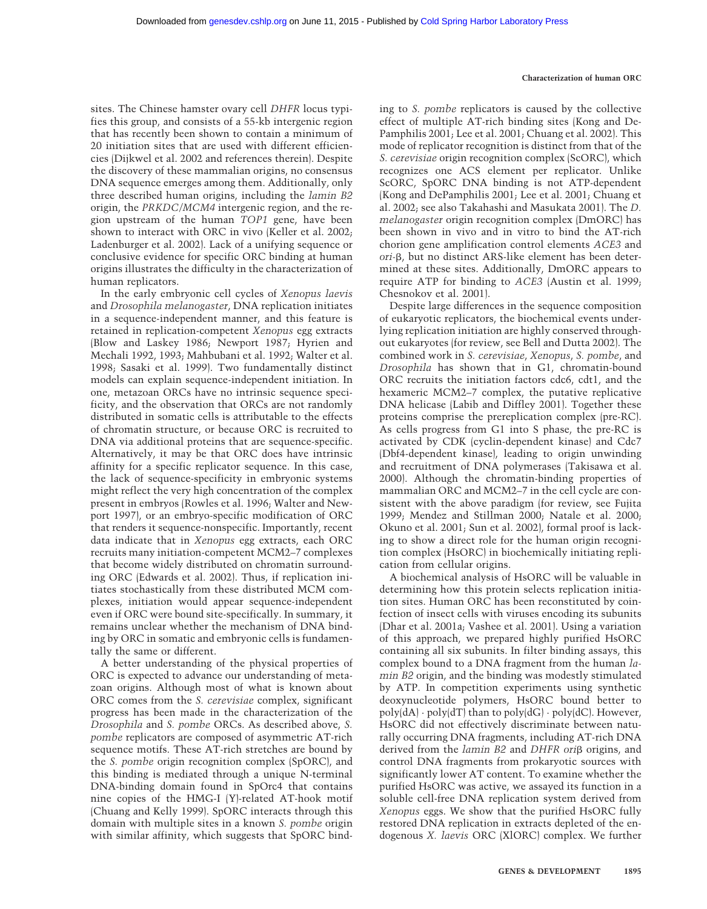sites. The Chinese hamster ovary cell *DHFR* locus typifies this group, and consists of a 55-kb intergenic region that has recently been shown to contain a minimum of 20 initiation sites that are used with different efficiencies (Dijkwel et al. 2002 and references therein). Despite the discovery of these mammalian origins, no consensus DNA sequence emerges among them. Additionally, only three described human origins, including the *lamin B2* origin, the *PRKDC/MCM4* intergenic region, and the region upstream of the human *TOP1* gene, have been shown to interact with ORC in vivo (Keller et al. 2002; Ladenburger et al. 2002). Lack of a unifying sequence or conclusive evidence for specific ORC binding at human origins illustrates the difficulty in the characterization of human replicators.

In the early embryonic cell cycles of *Xenopus laevis* and *Drosophila melanogaster*, DNA replication initiates in a sequence-independent manner, and this feature is retained in replication-competent *Xenopus* egg extracts (Blow and Laskey 1986; Newport 1987; Hyrien and Mechali 1992, 1993; Mahbubani et al. 1992; Walter et al. 1998; Sasaki et al. 1999). Two fundamentally distinct models can explain sequence-independent initiation. In one, metazoan ORCs have no intrinsic sequence specificity, and the observation that ORCs are not randomly distributed in somatic cells is attributable to the effects of chromatin structure, or because ORC is recruited to DNA via additional proteins that are sequence-specific. Alternatively, it may be that ORC does have intrinsic affinity for a specific replicator sequence. In this case, the lack of sequence-specificity in embryonic systems might reflect the very high concentration of the complex present in embryos (Rowles et al. 1996; Walter and Newport 1997), or an embryo-specific modification of ORC that renders it sequence-nonspecific. Importantly, recent data indicate that in *Xenopus* egg extracts, each ORC recruits many initiation-competent MCM2–7 complexes that become widely distributed on chromatin surrounding ORC (Edwards et al. 2002). Thus, if replication initiates stochastically from these distributed MCM complexes, initiation would appear sequence-independent even if ORC were bound site-specifically. In summary, it remains unclear whether the mechanism of DNA binding by ORC in somatic and embryonic cells is fundamentally the same or different.

A better understanding of the physical properties of ORC is expected to advance our understanding of metazoan origins. Although most of what is known about ORC comes from the *S. cerevisiae* complex, significant progress has been made in the characterization of the *Drosophila* and *S. pombe* ORCs. As described above, *S. pombe* replicators are composed of asymmetric AT-rich sequence motifs. These AT-rich stretches are bound by the *S. pombe* origin recognition complex (SpORC), and this binding is mediated through a unique N-terminal DNA-binding domain found in SpOrc4 that contains nine copies of the HMG-I (Y)-related AT-hook motif (Chuang and Kelly 1999). SpORC interacts through this domain with multiple sites in a known *S. pombe* origin with similar affinity, which suggests that SpORC binding to *S. pombe* replicators is caused by the collective effect of multiple AT-rich binding sites (Kong and De-Pamphilis 2001; Lee et al. 2001; Chuang et al. 2002). This mode of replicator recognition is distinct from that of the *S. cerevisiae* origin recognition complex (ScORC), which recognizes one ACS element per replicator. Unlike ScORC, SpORC DNA binding is not ATP-dependent (Kong and DePamphilis 2001; Lee et al. 2001; Chuang et al. 2002; see also Takahashi and Masukata 2001). The *D*. *melanogaster* origin recognition complex (DmORC) has been shown in vivo and in vitro to bind the AT-rich chorion gene amplification control elements *ACE3* and *ori-*, but no distinct ARS-like element has been determined at these sites. Additionally, DmORC appears to require ATP for binding to *ACE3* (Austin et al. 1999; Chesnokov et al. 2001).

Despite large differences in the sequence composition of eukaryotic replicators, the biochemical events underlying replication initiation are highly conserved throughout eukaryotes (for review, see Bell and Dutta 2002). The combined work in *S. cerevisiae*, *Xenopus*, *S. pombe*, and *Drosophila* has shown that in G1, chromatin-bound ORC recruits the initiation factors cdc6, cdt1, and the hexameric MCM2–7 complex, the putative replicative DNA helicase (Labib and Diffley 2001). Together these proteins comprise the prereplication complex (pre-RC). As cells progress from G1 into S phase, the pre-RC is activated by CDK (cyclin-dependent kinase) and Cdc7 (Dbf4-dependent kinase), leading to origin unwinding and recruitment of DNA polymerases (Takisawa et al. 2000). Although the chromatin-binding properties of mammalian ORC and MCM2–7 in the cell cycle are consistent with the above paradigm (for review, see Fujita 1999; Mendez and Stillman 2000; Natale et al. 2000; Okuno et al. 2001; Sun et al. 2002), formal proof is lacking to show a direct role for the human origin recognition complex (HsORC) in biochemically initiating replication from cellular origins.

A biochemical analysis of HsORC will be valuable in determining how this protein selects replication initiation sites. Human ORC has been reconstituted by coinfection of insect cells with viruses encoding its subunits (Dhar et al. 2001a; Vashee et al. 2001). Using a variation of this approach, we prepared highly purified HsORC containing all six subunits. In filter binding assays, this complex bound to a DNA fragment from the human *lamin B2* origin, and the binding was modestly stimulated by ATP. In competition experiments using synthetic deoxynucleotide polymers, HsORC bound better to poly(dA) · poly(dT) than to poly(dG) · poly(dC). However, HsORC did not effectively discriminate between naturally occurring DNA fragments, including AT-rich DNA derived from the *lamin B2* and *DHFR ori*<sub>B</sub> origins, and control DNA fragments from prokaryotic sources with significantly lower AT content. To examine whether the purified HsORC was active, we assayed its function in a soluble cell-free DNA replication system derived from *Xenopus* eggs. We show that the purified HsORC fully restored DNA replication in extracts depleted of the endogenous *X. laevis* ORC (XlORC) complex. We further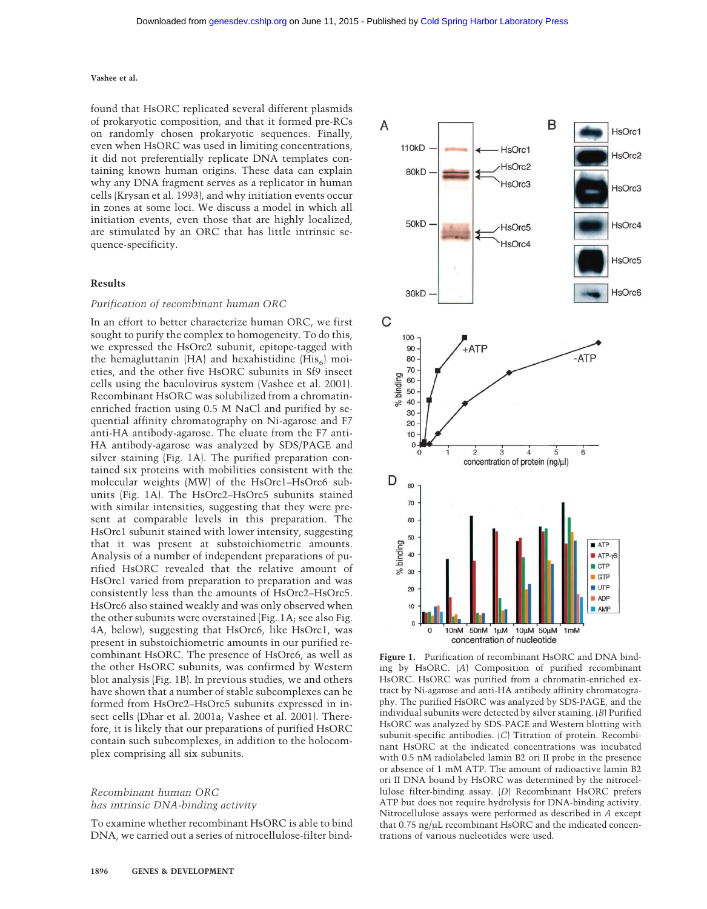found that HsORC replicated several different plasmids of prokaryotic composition, and that it formed pre-RCs on randomly chosen prokaryotic sequences. Finally, even when HsORC was used in limiting concentrations, it did not preferentially replicate DNA templates containing known human origins. These data can explain why any DNA fragment serves as a replicator in human cells (Krysan et al. 1993), and why initiation events occur in zones at some loci. We discuss a model in which all initiation events, even those that are highly localized, are stimulated by an ORC that has little intrinsic sequence-specificity.

#### **Results**

#### *Purification of recombinant human ORC*

In an effort to better characterize human ORC, we first sought to purify the complex to homogeneity. To do this, we expressed the HsOrc2 subunit, epitope-tagged with the hemagluttanin (HA) and hexahistidine  $(His<sub>6</sub>)$  moieties, and the other five HsORC subunits in Sf9 insect cells using the baculovirus system (Vashee et al. 2001). Recombinant HsORC was solubilized from a chromatinenriched fraction using 0.5 M NaCl and purified by sequential affinity chromatography on Ni-agarose and F7 anti-HA antibody-agarose. The eluate from the F7 anti-HA antibody-agarose was analyzed by SDS/PAGE and silver staining (Fig. 1A). The purified preparation contained six proteins with mobilities consistent with the molecular weights (MW) of the HsOrc1–HsOrc6 subunits (Fig. 1A). The HsOrc2–HsOrc5 subunits stained with similar intensities, suggesting that they were present at comparable levels in this preparation. The HsOrc1 subunit stained with lower intensity, suggesting that it was present at substoichiometric amounts. Analysis of a number of independent preparations of purified HsORC revealed that the relative amount of HsOrc1 varied from preparation to preparation and was consistently less than the amounts of HsOrc2–HsOrc5. HsOrc6 also stained weakly and was only observed when the other subunits were overstained (Fig. 1A; see also Fig. 4A, below), suggesting that HsOrc6, like HsOrc1, was present in substoichiometric amounts in our purified recombinant HsORC. The presence of HsOrc6, as well as the other HsORC subunits, was confirmed by Western blot analysis (Fig. 1B). In previous studies, we and others have shown that a number of stable subcomplexes can be formed from HsOrc2–HsOrc5 subunits expressed in insect cells (Dhar et al. 2001a; Vashee et al. 2001). Therefore, it is likely that our preparations of purified HsORC contain such subcomplexes, in addition to the holocomplex comprising all six subunits.

# *Recombinant human ORC has intrinsic DNA-binding activity*

To examine whether recombinant HsORC is able to bind DNA, we carried out a series of nitrocellulose-filter bind-



**Figure 1.** Purification of recombinant HsORC and DNA binding by HsORC. (*A*) Composition of purified recombinant HsORC. HsORC was purified from a chromatin-enriched extract by Ni-agarose and anti-HA antibody affinity chromatography. The purified HsORC was analyzed by SDS-PAGE, and the individual subunits were detected by silver staining. (*B*) Purified HsORC was analyzed by SDS-PAGE and Western blotting with subunit-specific antibodies. (*C*) Titration of protein. Recombinant HsORC at the indicated concentrations was incubated with 0.5 nM radiolabeled lamin B2 ori II probe in the presence or absence of 1 mM ATP. The amount of radioactive lamin B2 ori II DNA bound by HsORC was determined by the nitrocellulose filter-binding assay. (*D*) Recombinant HsORC prefers ATP but does not require hydrolysis for DNA-binding activity. Nitrocellulose assays were performed as described in *A* except that 0.75 ng/µL recombinant HsORC and the indicated concentrations of various nucleotides were used.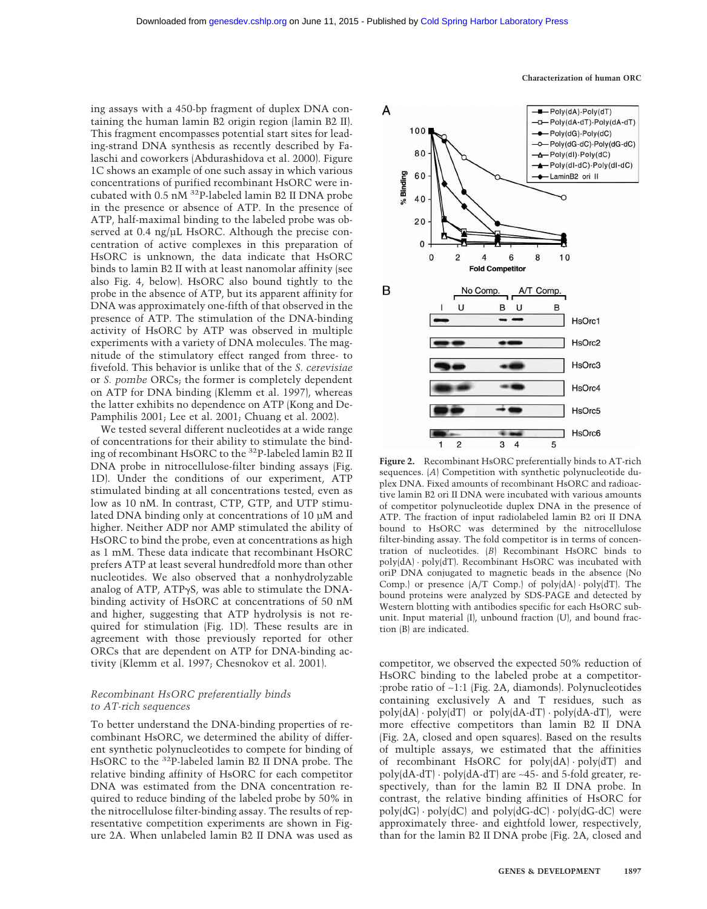**Characterization of human ORC**

ing assays with a 450-bp fragment of duplex DNA containing the human lamin B2 origin region (lamin B2 II). This fragment encompasses potential start sites for leading-strand DNA synthesis as recently described by Falaschi and coworkers (Abdurashidova et al. 2000). Figure 1C shows an example of one such assay in which various concentrations of purified recombinant HsORC were incubated with 0.5 nM 32P-labeled lamin B2 II DNA probe in the presence or absence of ATP. In the presence of ATP, half-maximal binding to the labeled probe was observed at 0.4 ng/ $\mu$ L HsORC. Although the precise concentration of active complexes in this preparation of HsORC is unknown, the data indicate that HsORC binds to lamin B2 II with at least nanomolar affinity (see also Fig. 4, below). HsORC also bound tightly to the probe in the absence of ATP, but its apparent affinity for DNA was approximately one-fifth of that observed in the presence of ATP. The stimulation of the DNA-binding activity of HsORC by ATP was observed in multiple experiments with a variety of DNA molecules. The magnitude of the stimulatory effect ranged from three- to fivefold. This behavior is unlike that of the *S. cerevisiae* or *S. pombe* ORCs; the former is completely dependent on ATP for DNA binding (Klemm et al. 1997), whereas the latter exhibits no dependence on ATP (Kong and De-Pamphilis 2001; Lee et al. 2001; Chuang et al. 2002).

We tested several different nucleotides at a wide range of concentrations for their ability to stimulate the binding of recombinant HsORC to the 32P-labeled lamin B2 II DNA probe in nitrocellulose-filter binding assays (Fig. 1D). Under the conditions of our experiment, ATP stimulated binding at all concentrations tested, even as low as 10 nM. In contrast, CTP, GTP, and UTP stimulated DNA binding only at concentrations of 10 µM and higher. Neither ADP nor AMP stimulated the ability of HsORC to bind the probe, even at concentrations as high as 1 mM. These data indicate that recombinant HsORC prefers ATP at least several hundredfold more than other nucleotides. We also observed that a nonhydrolyzable analog of ATP, ATP $\gamma$ S, was able to stimulate the DNAbinding activity of HsORC at concentrations of 50 nM and higher, suggesting that ATP hydrolysis is not required for stimulation (Fig. 1D). These results are in agreement with those previously reported for other ORCs that are dependent on ATP for DNA-binding activity (Klemm et al. 1997; Chesnokov et al. 2001).

# *Recombinant HsORC preferentially binds to AT-rich sequences*

To better understand the DNA-binding properties of recombinant HsORC, we determined the ability of different synthetic polynucleotides to compete for binding of HsORC to the 32P-labeled lamin B2 II DNA probe. The relative binding affinity of HsORC for each competitor DNA was estimated from the DNA concentration required to reduce binding of the labeled probe by 50% in the nitrocellulose filter-binding assay. The results of representative competition experiments are shown in Figure 2A. When unlabeled lamin B2 II DNA was used as



**Figure 2.** Recombinant HsORC preferentially binds to AT-rich sequences. (*A*) Competition with synthetic polynucleotide duplex DNA. Fixed amounts of recombinant HsORC and radioactive lamin B2 ori II DNA were incubated with various amounts of competitor polynucleotide duplex DNA in the presence of ATP. The fraction of input radiolabeled lamin B2 ori II DNA bound to HsORC was determined by the nitrocellulose filter-binding assay. The fold competitor is in terms of concentration of nucleotides. (*B*) Recombinant HsORC binds to poly(dA) · poly(dT). Recombinant HsORC was incubated with oriP DNA conjugated to magnetic beads in the absence (No Comp.) or presence (A/T Comp.) of poly(dA) · poly(dT). The bound proteins were analyzed by SDS-PAGE and detected by Western blotting with antibodies specific for each HsORC subunit. Input material (I), unbound fraction (U), and bound fraction (B) are indicated.

competitor, we observed the expected 50% reduction of HsORC binding to the labeled probe at a competitor- :probe ratio of ∼1:1 (Fig. 2A, diamonds). Polynucleotides containing exclusively A and T residues, such as poly(dA) · poly(dT) or poly(dA-dT) · poly(dA-dT), were more effective competitors than lamin B2 II DNA (Fig. 2A, closed and open squares). Based on the results of multiple assays, we estimated that the affinities of recombinant HsORC for poly(dA) · poly(dT) and poly(dA-dT) · poly(dA-dT) are ∼45- and 5-fold greater, respectively, than for the lamin B2 II DNA probe. In contrast, the relative binding affinities of HsORC for  $poly(dG) \cdot poly(dC)$  and  $poly(dG-dC) \cdot poly(dG-dC)$  were approximately three- and eightfold lower, respectively, than for the lamin B2 II DNA probe (Fig. 2A, closed and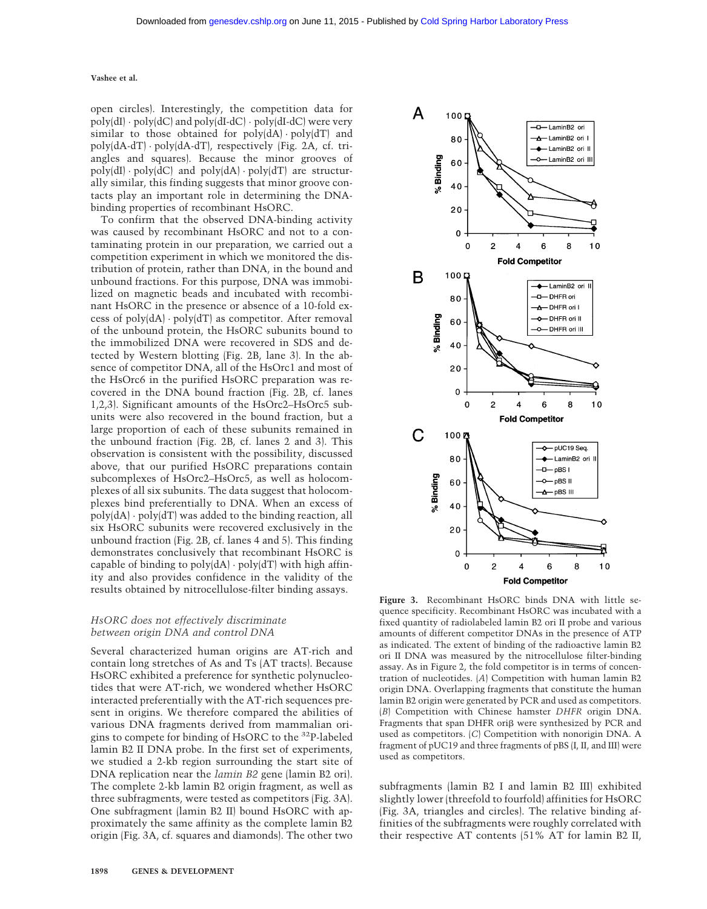open circles). Interestingly, the competition data for  $poly(dI) \cdot poly(dC)$  and  $poly(dI-dC) \cdot poly(dI-dC)$  were very similar to those obtained for  $poly(dA) \cdot poly(dT)$  and poly(dA-dT) · poly(dA-dT), respectively (Fig. 2A, cf. triangles and squares). Because the minor grooves of poly(dI) · poly(dC) and poly(dA) · poly(dT) are structurally similar, this finding suggests that minor groove contacts play an important role in determining the DNAbinding properties of recombinant HsORC.

To confirm that the observed DNA-binding activity was caused by recombinant HsORC and not to a contaminating protein in our preparation, we carried out a competition experiment in which we monitored the distribution of protein, rather than DNA, in the bound and unbound fractions. For this purpose, DNA was immobilized on magnetic beads and incubated with recombinant HsORC in the presence or absence of a 10-fold excess of  $poly(dA) \cdot poly(dT)$  as competitor. After removal of the unbound protein, the HsORC subunits bound to the immobilized DNA were recovered in SDS and detected by Western blotting (Fig. 2B, lane 3). In the absence of competitor DNA, all of the HsOrc1 and most of the HsOrc6 in the purified HsORC preparation was recovered in the DNA bound fraction (Fig. 2B, cf. lanes 1,2,3). Significant amounts of the HsOrc2–HsOrc5 subunits were also recovered in the bound fraction, but a large proportion of each of these subunits remained in the unbound fraction (Fig. 2B, cf. lanes 2 and 3). This observation is consistent with the possibility, discussed above, that our purified HsORC preparations contain subcomplexes of HsOrc2–HsOrc5, as well as holocomplexes of all six subunits. The data suggest that holocomplexes bind preferentially to DNA. When an excess of  $poly(dA) \cdot poly(dT)$  was added to the binding reaction, all six HsORC subunits were recovered exclusively in the unbound fraction (Fig. 2B, cf. lanes 4 and 5). This finding demonstrates conclusively that recombinant HsORC is capable of binding to  $poly(dA) \cdot poly(dT)$  with high affinity and also provides confidence in the validity of the results obtained by nitrocellulose-filter binding assays.

# *HsORC does not effectively discriminate between origin DNA and control DNA*

Several characterized human origins are AT-rich and contain long stretches of As and Ts (AT tracts). Because HsORC exhibited a preference for synthetic polynucleotides that were AT-rich, we wondered whether HsORC interacted preferentially with the AT-rich sequences present in origins. We therefore compared the abilities of various DNA fragments derived from mammalian origins to compete for binding of HsORC to the 32P-labeled lamin B2 II DNA probe. In the first set of experiments, we studied a 2-kb region surrounding the start site of DNA replication near the *lamin B2* gene (lamin B2 ori). The complete 2-kb lamin B2 origin fragment, as well as three subfragments, were tested as competitors (Fig. 3A). One subfragment (lamin B2 II) bound HsORC with approximately the same affinity as the complete lamin B2 origin (Fig. 3A, cf. squares and diamonds). The other two



**Figure 3.** Recombinant HsORC binds DNA with little sequence specificity. Recombinant HsORC was incubated with a fixed quantity of radiolabeled lamin B2 ori II probe and various amounts of different competitor DNAs in the presence of ATP as indicated. The extent of binding of the radioactive lamin B2 ori II DNA was measured by the nitrocellulose filter-binding assay. As in Figure 2, the fold competitor is in terms of concentration of nucleotides. (*A*) Competition with human lamin B2 origin DNA. Overlapping fragments that constitute the human lamin B2 origin were generated by PCR and used as competitors. (*B*) Competition with Chinese hamster *DHFR* origin DNA. Fragments that span DHFR oriß were synthesized by PCR and used as competitors. (*C*) Competition with nonorigin DNA. A fragment of pUC19 and three fragments of pBS (I, II, and III) were used as competitors.

subfragments (lamin B2 I and lamin B2 III) exhibited slightly lower (threefold to fourfold) affinities for HsORC (Fig. 3A, triangles and circles). The relative binding affinities of the subfragments were roughly correlated with their respective AT contents (51% AT for lamin B2 II,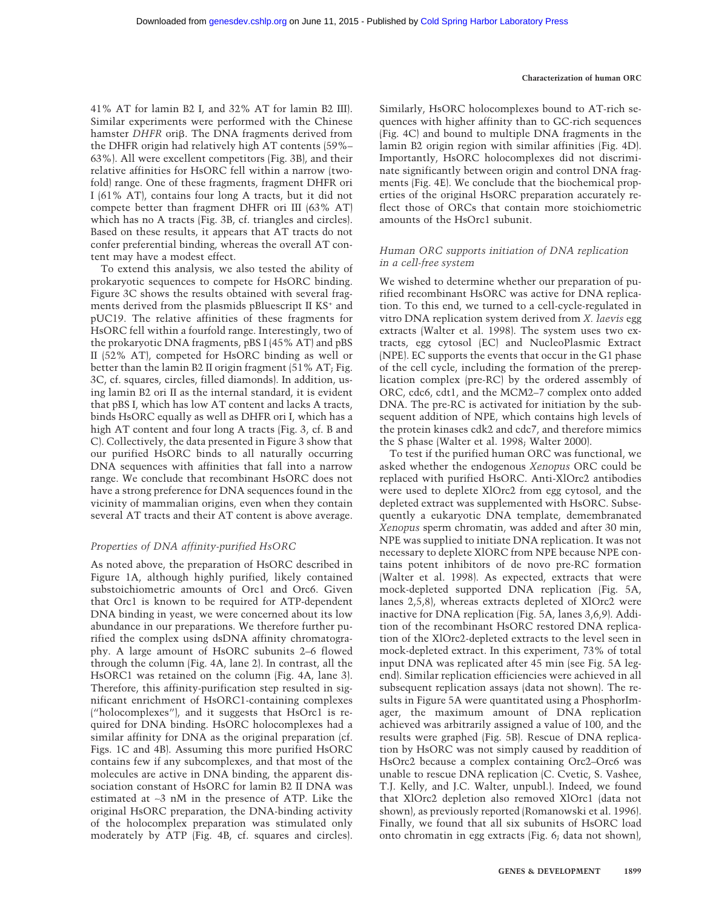41% AT for lamin B2 I, and 32% AT for lamin B2 III). Similar experiments were performed with the Chinese hamster *DHFR* oriß. The DNA fragments derived from the DHFR origin had relatively high AT contents (59%– 63%). All were excellent competitors (Fig. 3B), and their relative affinities for HsORC fell within a narrow (twofold) range. One of these fragments, fragment DHFR ori I (61% AT), contains four long A tracts, but it did not compete better than fragment DHFR ori III (63% AT) which has no A tracts (Fig. 3B, cf. triangles and circles). Based on these results, it appears that AT tracts do not confer preferential binding, whereas the overall AT content may have a modest effect.

To extend this analysis, we also tested the ability of prokaryotic sequences to compete for HsORC binding. Figure 3C shows the results obtained with several fragments derived from the plasmids pBluescript II KS<sup>+</sup> and pUC19. The relative affinities of these fragments for HsORC fell within a fourfold range. Interestingly, two of the prokaryotic DNA fragments, pBS I (45% AT) and pBS II (52% AT), competed for HsORC binding as well or better than the lamin B2 II origin fragment  $(51\%$  AT; Fig. 3C, cf. squares, circles, filled diamonds). In addition, using lamin B2 ori II as the internal standard, it is evident that pBS I, which has low AT content and lacks A tracts, binds HsORC equally as well as DHFR ori I, which has a high AT content and four long A tracts (Fig. 3, cf. B and C). Collectively, the data presented in Figure 3 show that our purified HsORC binds to all naturally occurring DNA sequences with affinities that fall into a narrow range. We conclude that recombinant HsORC does not have a strong preference for DNA sequences found in the vicinity of mammalian origins, even when they contain several AT tracts and their AT content is above average.

# *Properties of DNA affinity-purified HsORC*

As noted above, the preparation of HsORC described in Figure 1A, although highly purified, likely contained substoichiometric amounts of Orc1 and Orc6. Given that Orc1 is known to be required for ATP-dependent DNA binding in yeast, we were concerned about its low abundance in our preparations. We therefore further purified the complex using dsDNA affinity chromatography. A large amount of HsORC subunits 2–6 flowed through the column (Fig. 4A, lane 2). In contrast, all the HsORC1 was retained on the column (Fig. 4A, lane 3). Therefore, this affinity-purification step resulted in significant enrichment of HsORC1-containing complexes ("holocomplexes"), and it suggests that HsOrc1 is required for DNA binding. HsORC holocomplexes had a similar affinity for DNA as the original preparation (cf. Figs. 1C and 4B). Assuming this more purified HsORC contains few if any subcomplexes, and that most of the molecules are active in DNA binding, the apparent dissociation constant of HsORC for lamin B2 II DNA was estimated at ∼3 nM in the presence of ATP. Like the original HsORC preparation, the DNA-binding activity of the holocomplex preparation was stimulated only moderately by ATP (Fig. 4B, cf. squares and circles). Similarly, HsORC holocomplexes bound to AT-rich sequences with higher affinity than to GC-rich sequences (Fig. 4C) and bound to multiple DNA fragments in the lamin B2 origin region with similar affinities (Fig. 4D). Importantly, HsORC holocomplexes did not discriminate significantly between origin and control DNA fragments (Fig. 4E). We conclude that the biochemical properties of the original HsORC preparation accurately reflect those of ORCs that contain more stoichiometric amounts of the HsOrc1 subunit.

# *Human ORC supports initiation of DNA replication in a cell-free system*

We wished to determine whether our preparation of purified recombinant HsORC was active for DNA replication. To this end, we turned to a cell-cycle-regulated in vitro DNA replication system derived from *X. laevis* egg extracts (Walter et al. 1998). The system uses two extracts, egg cytosol (EC) and NucleoPlasmic Extract (NPE). EC supports the events that occur in the G1 phase of the cell cycle, including the formation of the prereplication complex (pre-RC) by the ordered assembly of ORC, cdc6, cdt1, and the MCM2–7 complex onto added DNA. The pre-RC is activated for initiation by the subsequent addition of NPE, which contains high levels of the protein kinases cdk2 and cdc7, and therefore mimics the S phase (Walter et al. 1998; Walter 2000).

To test if the purified human ORC was functional, we asked whether the endogenous *Xenopus* ORC could be replaced with purified HsORC. Anti-XlOrc2 antibodies were used to deplete XlOrc2 from egg cytosol, and the depleted extract was supplemented with HsORC. Subsequently a eukaryotic DNA template, demembranated *Xenopus* sperm chromatin, was added and after 30 min, NPE was supplied to initiate DNA replication. It was not necessary to deplete XlORC from NPE because NPE contains potent inhibitors of de novo pre-RC formation (Walter et al. 1998). As expected, extracts that were mock-depleted supported DNA replication (Fig. 5A, lanes 2,5,8), whereas extracts depleted of XlOrc2 were inactive for DNA replication (Fig. 5A, lanes 3,6,9). Addition of the recombinant HsORC restored DNA replication of the XlOrc2-depleted extracts to the level seen in mock-depleted extract. In this experiment, 73% of total input DNA was replicated after 45 min (see Fig. 5A legend). Similar replication efficiencies were achieved in all subsequent replication assays (data not shown). The results in Figure 5A were quantitated using a PhosphorImager, the maximum amount of DNA replication achieved was arbitrarily assigned a value of 100, and the results were graphed (Fig. 5B). Rescue of DNA replication by HsORC was not simply caused by readdition of HsOrc2 because a complex containing Orc2–Orc6 was unable to rescue DNA replication (C. Cvetic, S. Vashee, T.J. Kelly, and J.C. Walter, unpubl.). Indeed, we found that XlOrc2 depletion also removed XlOrc1 (data not shown), as previously reported (Romanowski et al. 1996). Finally, we found that all six subunits of HsORC load onto chromatin in egg extracts (Fig. 6; data not shown),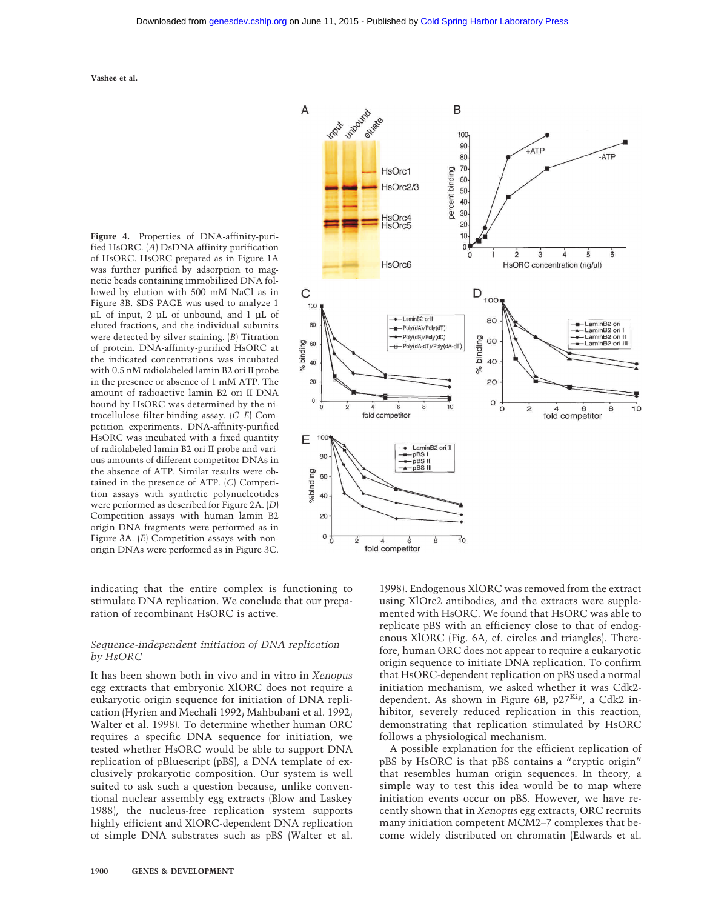**Figure 4.** Properties of DNA-affinity-purified HsORC. (*A*) DsDNA affinity purification of HsORC. HsORC prepared as in Figure 1A was further purified by adsorption to magnetic beads containing immobilized DNA followed by elution with 500 mM NaCl as in Figure 3B. SDS-PAGE was used to analyze 1 µL of input, 2 µL of unbound, and 1 µL of eluted fractions, and the individual subunits were detected by silver staining. (*B*) Titration of protein. DNA-affinity-purified HsORC at the indicated concentrations was incubated with 0.5 nM radiolabeled lamin B2 ori II probe in the presence or absence of 1 mM ATP. The amount of radioactive lamin B2 ori II DNA bound by HsORC was determined by the nitrocellulose filter-binding assay. (*C*–*E*) Competition experiments. DNA-affinity-purified HsORC was incubated with a fixed quantity of radiolabeled lamin B2 ori II probe and various amounts of different competitor DNAs in the absence of ATP. Similar results were obtained in the presence of ATP. (*C*) Competition assays with synthetic polynucleotides were performed as described for Figure 2A. (*D*) Competition assays with human lamin B2 origin DNA fragments were performed as in Figure 3A. (*E*) Competition assays with nonorigin DNAs were performed as in Figure 3C.

indicating that the entire complex is functioning to stimulate DNA replication. We conclude that our preparation of recombinant HsORC is active.

# *Sequence-independent initiation of DNA replication by HsORC*

It has been shown both in vivo and in vitro in *Xenopus* egg extracts that embryonic XlORC does not require a eukaryotic origin sequence for initiation of DNA replication (Hyrien and Mechali 1992; Mahbubani et al. 1992; Walter et al. 1998). To determine whether human ORC requires a specific DNA sequence for initiation, we tested whether HsORC would be able to support DNA replication of pBluescript (pBS), a DNA template of exclusively prokaryotic composition. Our system is well suited to ask such a question because, unlike conventional nuclear assembly egg extracts (Blow and Laskey 1988), the nucleus-free replication system supports highly efficient and XlORC-dependent DNA replication of simple DNA substrates such as pBS (Walter et al.



1998). Endogenous XlORC was removed from the extract using XlOrc2 antibodies, and the extracts were supplemented with HsORC. We found that HsORC was able to replicate pBS with an efficiency close to that of endogenous XlORC (Fig. 6A, cf. circles and triangles). Therefore, human ORC does not appear to require a eukaryotic origin sequence to initiate DNA replication. To confirm that HsORC-dependent replication on pBS used a normal initiation mechanism, we asked whether it was Cdk2 dependent. As shown in Figure 6B,  $p27<sup>Kip</sup>$ , a Cdk2 inhibitor, severely reduced replication in this reaction, demonstrating that replication stimulated by HsORC follows a physiological mechanism.

A possible explanation for the efficient replication of pBS by HsORC is that pBS contains a "cryptic origin" that resembles human origin sequences. In theory, a simple way to test this idea would be to map where initiation events occur on pBS. However, we have recently shown that in *Xenopus* egg extracts, ORC recruits many initiation competent MCM2–7 complexes that become widely distributed on chromatin (Edwards et al.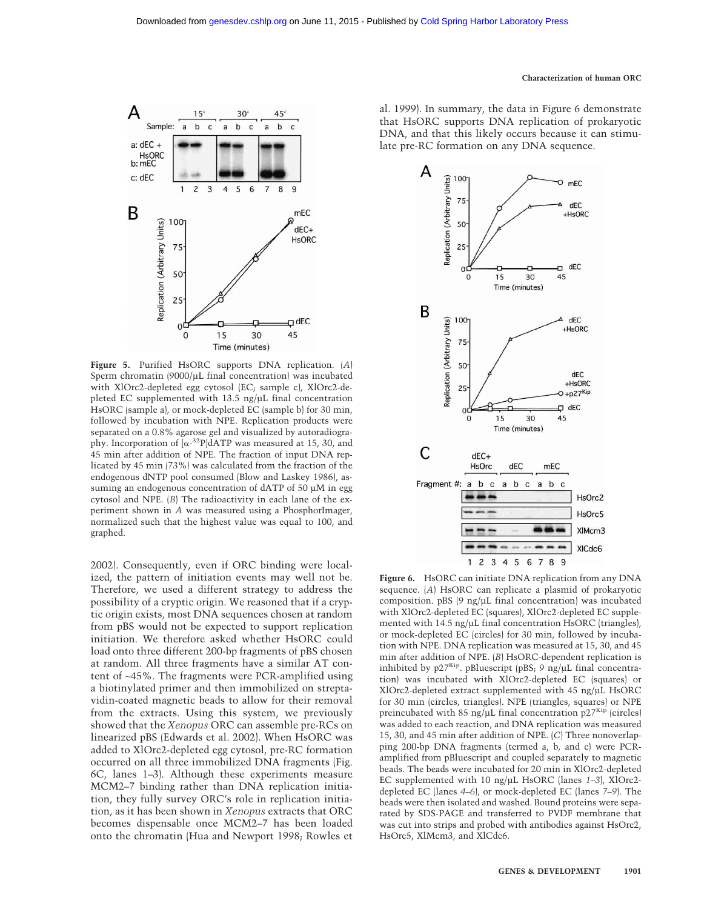#### **Characterization of human ORC**



**Figure 5.** Purified HsORC supports DNA replication. (*A*) Sperm chromatin (9000/µL final concentration) was incubated with XlOrc2-depleted egg cytosol (EC; sample c), XlOrc2-depleted EC supplemented with 13.5 ng/µL final concentration HsORC (sample a), or mock-depleted EC (sample b) for 30 min, followed by incubation with NPE. Replication products were separated on a 0.8% agarose gel and visualized by autoradiography. Incorporation of  $[\alpha^{-32}P]dATP$  was measured at 15, 30, and 45 min after addition of NPE. The fraction of input DNA replicated by 45 min (73%) was calculated from the fraction of the endogenous dNTP pool consumed (Blow and Laskey 1986), assuming an endogenous concentration of dATP of 50 µM in egg cytosol and NPE. (*B*) The radioactivity in each lane of the experiment shown in *A* was measured using a PhosphorImager, normalized such that the highest value was equal to 100, and graphed.

2002). Consequently, even if ORC binding were localized, the pattern of initiation events may well not be. Therefore, we used a different strategy to address the possibility of a cryptic origin. We reasoned that if a cryptic origin exists, most DNA sequences chosen at random from pBS would not be expected to support replication initiation. We therefore asked whether HsORC could load onto three different 200-bp fragments of pBS chosen at random. All three fragments have a similar AT content of ∼45%. The fragments were PCR-amplified using a biotinylated primer and then immobilized on streptavidin-coated magnetic beads to allow for their removal from the extracts. Using this system, we previously showed that the *Xenopus* ORC can assemble pre-RCs on linearized pBS (Edwards et al. 2002). When HsORC was added to XlOrc2-depleted egg cytosol, pre-RC formation occurred on all three immobilized DNA fragments (Fig. 6C, lanes 1–3). Although these experiments measure MCM2–7 binding rather than DNA replication initiation, they fully survey ORC's role in replication initiation, as it has been shown in *Xenopus* extracts that ORC becomes dispensable once MCM2–7 has been loaded onto the chromatin (Hua and Newport 1998; Rowles et al. 1999). In summary, the data in Figure 6 demonstrate that HsORC supports DNA replication of prokaryotic DNA, and that this likely occurs because it can stimulate pre-RC formation on any DNA sequence.



**Figure 6.** HsORC can initiate DNA replication from any DNA sequence. (*A*) HsORC can replicate a plasmid of prokaryotic composition. pBS (9 ng/µL final concentration) was incubated with XlOrc2-depleted EC (squares), XlOrc2-depleted EC supplemented with 14.5 ng/ $\mu$ L final concentration HsORC (triangles), or mock-depleted EC (circles) for 30 min, followed by incubation with NPE. DNA replication was measured at 15, 30, and 45 min after addition of NPE. (*B*) HsORC-dependent replication is inhibited by  $p27^{Kip}$ . pBluescript (pBS; 9 ng/µL final concentration) was incubated with XlOrc2-depleted EC (squares) or XlOrc2-depleted extract supplemented with 45 ng/µL HsORC for 30 min (circles, triangles). NPE (triangles, squares) or NPE preincubated with 85 ng/µL final concentration  $p27^{Kip}$  (circles) was added to each reaction, and DNA replication was measured 15, 30, and 45 min after addition of NPE. (*C*) Three nonoverlapping 200-bp DNA fragments (termed a, b, and c) were PCRamplified from pBluescript and coupled separately to magnetic beads. The beads were incubated for 20 min in XlOrc2-depleted EC supplemented with 10 ng/µL HsORC (lanes *1*–*3*), XlOrc2 depleted EC (lanes *4*–*6*), or mock-depleted EC (lanes *7*–*9*). The beads were then isolated and washed. Bound proteins were separated by SDS-PAGE and transferred to PVDF membrane that was cut into strips and probed with antibodies against HsOrc2, HsOrc5, XlMcm3, and XlCdc6.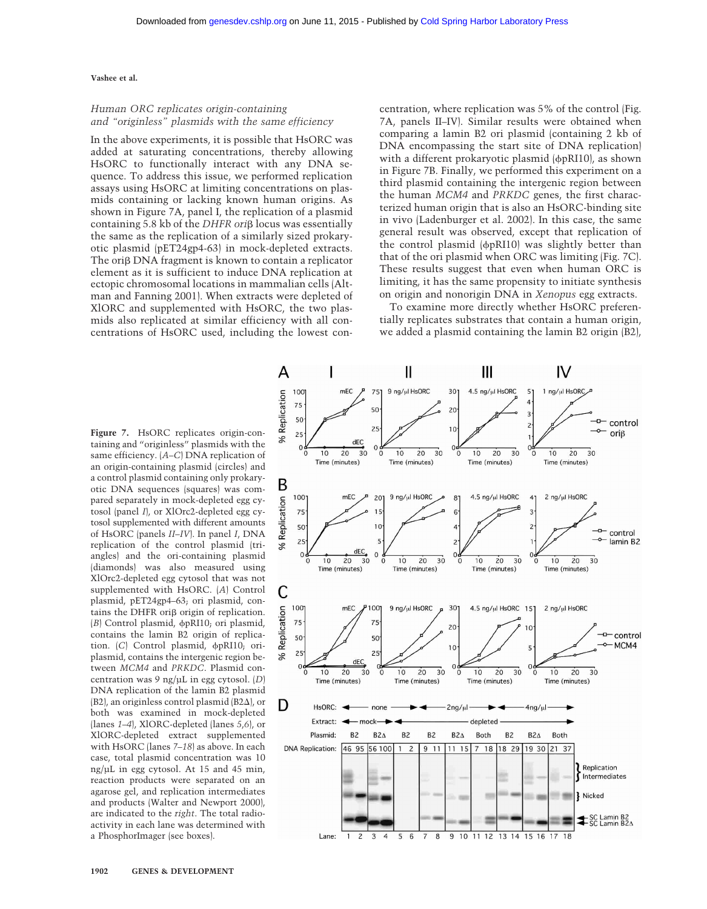# *Human ORC replicates origin-containing and "originless" plasmids with the same efficiency*

In the above experiments, it is possible that HsORC was added at saturating concentrations, thereby allowing HsORC to functionally interact with any DNA sequence. To address this issue, we performed replication assays using HsORC at limiting concentrations on plasmids containing or lacking known human origins. As shown in Figure 7A, panel I, the replication of a plasmid containing 5.8 kb of the *DHFR ori*  $\beta$  locus was essentially the same as the replication of a similarly sized prokaryotic plasmid (pET24gp4-63) in mock-depleted extracts. The ori $\beta$  DNA fragment is known to contain a replicator element as it is sufficient to induce DNA replication at ectopic chromosomal locations in mammalian cells (Altman and Fanning 2001). When extracts were depleted of XlORC and supplemented with HsORC, the two plasmids also replicated at similar efficiency with all concentrations of HsORC used, including the lowest concentration, where replication was 5% of the control (Fig. 7A, panels II–IV). Similar results were obtained when comparing a lamin B2 ori plasmid (containing 2 kb of DNA encompassing the start site of DNA replication) with a different prokaryotic plasmid ( $\phi$ pRI10), as shown in Figure 7B. Finally, we performed this experiment on a third plasmid containing the intergenic region between the human *MCM4* and *PRKDC* genes, the first characterized human origin that is also an HsORC-binding site in vivo (Ladenburger et al. 2002). In this case, the same general result was observed, except that replication of the control plasmid ( $\phi$ pRI10) was slightly better than that of the ori plasmid when ORC was limiting (Fig. 7C). These results suggest that even when human ORC is limiting, it has the same propensity to initiate synthesis on origin and nonorigin DNA in *Xenopus* egg extracts.

To examine more directly whether HsORC preferentially replicates substrates that contain a human origin, we added a plasmid containing the lamin B2 origin (B2),

**Figure 7.** HsORC replicates origin-containing and "originless" plasmids with the same efficiency. (*A*–*C*) DNA replication of an origin-containing plasmid (circles) and a control plasmid containing only prokaryotic DNA sequences (squares) was compared separately in mock-depleted egg cytosol (panel *I*), or XlOrc2-depleted egg cytosol supplemented with different amounts of HsORC (panels *II–IV*). In panel *I*, DNA replication of the control plasmid (triangles) and the ori-containing plasmid (diamonds) was also measured using XlOrc2-depleted egg cytosol that was not supplemented with HsORC. (*A*) Control plasmid, pET24gp4-63; ori plasmid, contains the DHFR oriß origin of replication. (B) Control plasmid,  $\phi$ pRI10; ori plasmid, contains the lamin B2 origin of replication. (C) Control plasmid,  $\phi$ pRI10; oriplasmid, contains the intergenic region between *MCM4* and *PRKDC*. Plasmid concentration was 9 ng/µL in egg cytosol. (*D*) DNA replication of the lamin B2 plasmid  $(B2)$ , an originless control plasmid  $(B2\Delta)$ , or both was examined in mock-depleted (lanes *1*–*4*), XlORC-depleted (lanes *5*,*6*), or XlORC-depleted extract supplemented with HsORC (lanes *7*–*18*) as above. In each case, total plasmid concentration was 10 ng/µL in egg cytosol. At 15 and 45 min, reaction products were separated on an agarose gel, and replication intermediates and products (Walter and Newport 2000), are indicated to the *right*. The total radioactivity in each lane was determined with a PhosphorImager (see boxes).

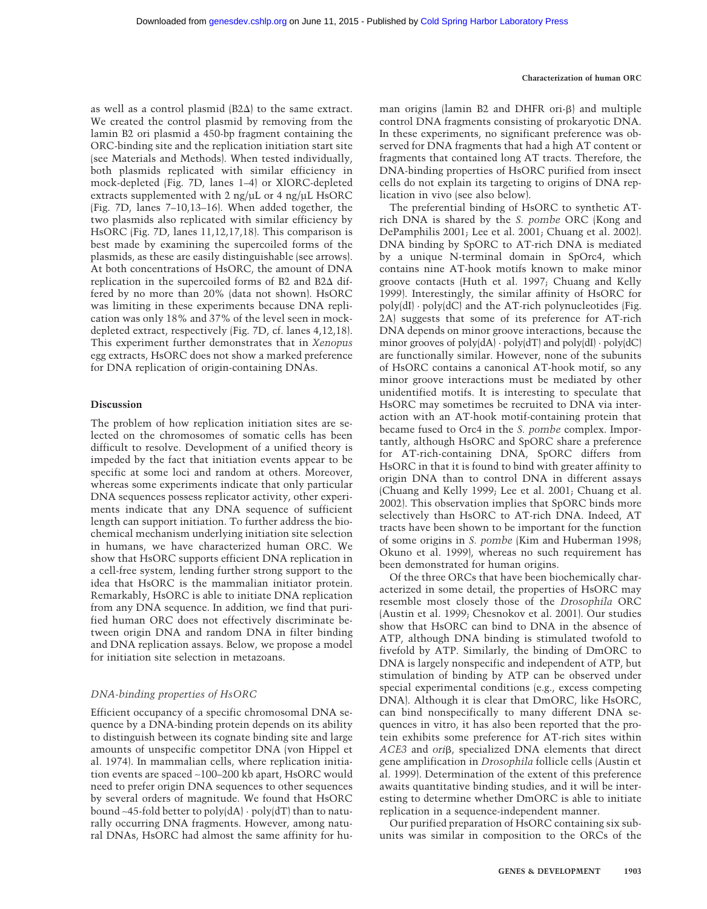as well as a control plasmid  $(B2\Delta)$  to the same extract. We created the control plasmid by removing from the lamin B2 ori plasmid a 450-bp fragment containing the ORC-binding site and the replication initiation start site (see Materials and Methods). When tested individually, both plasmids replicated with similar efficiency in mock-depleted (Fig. 7D, lanes 1–4) or XlORC-depleted extracts supplemented with 2 ng/ $\mu$ L or 4 ng/ $\mu$ L HsORC (Fig. 7D, lanes 7–10,13–16). When added together, the two plasmids also replicated with similar efficiency by HsORC (Fig. 7D, lanes 11,12,17,18). This comparison is best made by examining the supercoiled forms of the plasmids, as these are easily distinguishable (see arrows). At both concentrations of HsORC, the amount of DNA replication in the supercoiled forms of B2 and B2 $\Delta$  differed by no more than 20% (data not shown). HsORC was limiting in these experiments because DNA replication was only 18% and 37% of the level seen in mockdepleted extract, respectively (Fig. 7D, cf. lanes 4,12,18). This experiment further demonstrates that in *Xenopus* egg extracts, HsORC does not show a marked preference for DNA replication of origin-containing DNAs.

#### **Discussion**

The problem of how replication initiation sites are selected on the chromosomes of somatic cells has been difficult to resolve. Development of a unified theory is impeded by the fact that initiation events appear to be specific at some loci and random at others. Moreover, whereas some experiments indicate that only particular DNA sequences possess replicator activity, other experiments indicate that any DNA sequence of sufficient length can support initiation. To further address the biochemical mechanism underlying initiation site selection in humans, we have characterized human ORC. We show that HsORC supports efficient DNA replication in a cell-free system, lending further strong support to the idea that HsORC is the mammalian initiator protein. Remarkably, HsORC is able to initiate DNA replication from any DNA sequence. In addition, we find that purified human ORC does not effectively discriminate between origin DNA and random DNA in filter binding and DNA replication assays. Below, we propose a model for initiation site selection in metazoans.

#### *DNA-binding properties of HsORC*

Efficient occupancy of a specific chromosomal DNA sequence by a DNA-binding protein depends on its ability to distinguish between its cognate binding site and large amounts of unspecific competitor DNA (von Hippel et al. 1974). In mammalian cells, where replication initiation events are spaced ∼100–200 kb apart, HsORC would need to prefer origin DNA sequences to other sequences by several orders of magnitude. We found that HsORC bound ∼45-fold better to poly(dA) · poly(dT) than to naturally occurring DNA fragments. However, among natural DNAs, HsORC had almost the same affinity for human origins (lamin B2 and DHFR ori- $\beta$ ) and multiple control DNA fragments consisting of prokaryotic DNA. In these experiments, no significant preference was observed for DNA fragments that had a high AT content or fragments that contained long AT tracts. Therefore, the DNA-binding properties of HsORC purified from insect cells do not explain its targeting to origins of DNA replication in vivo (see also below).

The preferential binding of HsORC to synthetic ATrich DNA is shared by the *S. pombe* ORC (Kong and DePamphilis 2001; Lee et al. 2001; Chuang et al. 2002). DNA binding by SpORC to AT-rich DNA is mediated by a unique N-terminal domain in SpOrc4, which contains nine AT-hook motifs known to make minor groove contacts (Huth et al. 1997; Chuang and Kelly 1999). Interestingly, the similar affinity of HsORC for  $poly(dI) \cdot poly(dC)$  and the AT-rich polynucleotides (Fig. 2A) suggests that some of its preference for AT-rich DNA depends on minor groove interactions, because the minor grooves of  $poly(dA) \cdot poly(dT)$  and  $poly(dI) \cdot poly(dC)$ are functionally similar. However, none of the subunits of HsORC contains a canonical AT-hook motif, so any minor groove interactions must be mediated by other unidentified motifs. It is interesting to speculate that HsORC may sometimes be recruited to DNA via interaction with an AT-hook motif-containing protein that became fused to Orc4 in the *S. pombe* complex. Importantly, although HsORC and SpORC share a preference for AT-rich-containing DNA, SpORC differs from HsORC in that it is found to bind with greater affinity to origin DNA than to control DNA in different assays (Chuang and Kelly 1999; Lee et al. 2001; Chuang et al. 2002). This observation implies that SpORC binds more selectively than HsORC to AT-rich DNA. Indeed, AT tracts have been shown to be important for the function of some origins in *S. pombe* (Kim and Huberman 1998; Okuno et al. 1999), whereas no such requirement has been demonstrated for human origins.

Of the three ORCs that have been biochemically characterized in some detail, the properties of HsORC may resemble most closely those of the *Drosophila* ORC (Austin et al. 1999; Chesnokov et al. 2001). Our studies show that HsORC can bind to DNA in the absence of ATP, although DNA binding is stimulated twofold to fivefold by ATP. Similarly, the binding of DmORC to DNA is largely nonspecific and independent of ATP, but stimulation of binding by ATP can be observed under special experimental conditions (e.g., excess competing DNA). Although it is clear that DmORC, like HsORC, can bind nonspecifically to many different DNA sequences in vitro, it has also been reported that the protein exhibits some preference for AT-rich sites within *ACE3* and *ori*β, specialized DNA elements that direct gene amplification in *Drosophila* follicle cells (Austin et al. 1999). Determination of the extent of this preference awaits quantitative binding studies, and it will be interesting to determine whether DmORC is able to initiate replication in a sequence-independent manner.

Our purified preparation of HsORC containing six subunits was similar in composition to the ORCs of the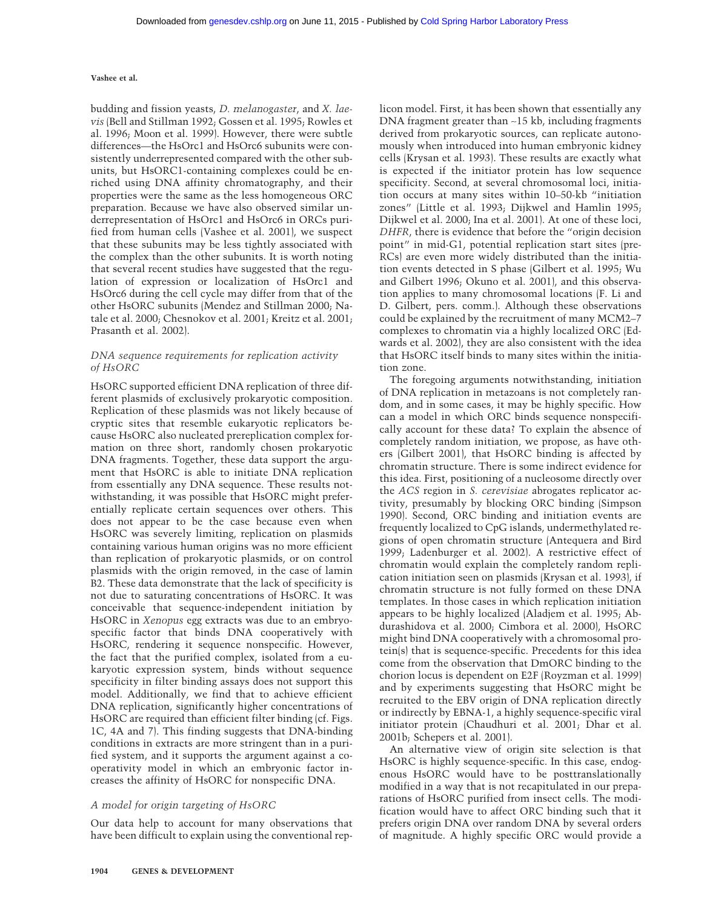budding and fission yeasts, *D. melanogaster*, and *X. lae*vis (Bell and Stillman 1992; Gossen et al. 1995; Rowles et al. 1996; Moon et al. 1999). However, there were subtle differences—the HsOrc1 and HsOrc6 subunits were consistently underrepresented compared with the other subunits, but HsORC1-containing complexes could be enriched using DNA affinity chromatography, and their properties were the same as the less homogeneous ORC preparation. Because we have also observed similar underrepresentation of HsOrc1 and HsOrc6 in ORCs purified from human cells (Vashee et al. 2001), we suspect that these subunits may be less tightly associated with the complex than the other subunits. It is worth noting that several recent studies have suggested that the regulation of expression or localization of HsOrc1 and HsOrc6 during the cell cycle may differ from that of the other HsORC subunits (Mendez and Stillman 2000; Natale et al. 2000; Chesnokov et al. 2001; Kreitz et al. 2001; Prasanth et al. 2002).

# *DNA sequence requirements for replication activity of HsORC*

HsORC supported efficient DNA replication of three different plasmids of exclusively prokaryotic composition. Replication of these plasmids was not likely because of cryptic sites that resemble eukaryotic replicators because HsORC also nucleated prereplication complex formation on three short, randomly chosen prokaryotic DNA fragments. Together, these data support the argument that HsORC is able to initiate DNA replication from essentially any DNA sequence. These results notwithstanding, it was possible that HsORC might preferentially replicate certain sequences over others. This does not appear to be the case because even when HsORC was severely limiting, replication on plasmids containing various human origins was no more efficient than replication of prokaryotic plasmids, or on control plasmids with the origin removed, in the case of lamin B2. These data demonstrate that the lack of specificity is not due to saturating concentrations of HsORC. It was conceivable that sequence-independent initiation by HsORC in *Xenopus* egg extracts was due to an embryospecific factor that binds DNA cooperatively with HsORC, rendering it sequence nonspecific. However, the fact that the purified complex, isolated from a eukaryotic expression system, binds without sequence specificity in filter binding assays does not support this model. Additionally, we find that to achieve efficient DNA replication, significantly higher concentrations of HsORC are required than efficient filter binding (cf. Figs. 1C, 4A and 7). This finding suggests that DNA-binding conditions in extracts are more stringent than in a purified system, and it supports the argument against a cooperativity model in which an embryonic factor increases the affinity of HsORC for nonspecific DNA.

# *A model for origin targeting of HsORC*

Our data help to account for many observations that have been difficult to explain using the conventional replicon model. First, it has been shown that essentially any DNA fragment greater than ∼15 kb, including fragments derived from prokaryotic sources, can replicate autonomously when introduced into human embryonic kidney cells (Krysan et al. 1993). These results are exactly what is expected if the initiator protein has low sequence specificity. Second, at several chromosomal loci, initiation occurs at many sites within 10–50-kb "initiation zones" (Little et al. 1993; Dijkwel and Hamlin 1995; Dijkwel et al. 2000; Ina et al. 2001). At one of these loci, *DHFR*, there is evidence that before the "origin decision point" in mid-G1, potential replication start sites (pre-RCs) are even more widely distributed than the initiation events detected in S phase (Gilbert et al. 1995; Wu and Gilbert 1996; Okuno et al. 2001), and this observation applies to many chromosomal locations (F. Li and D. Gilbert, pers. comm.). Although these observations could be explained by the recruitment of many MCM2–7 complexes to chromatin via a highly localized ORC (Edwards et al. 2002), they are also consistent with the idea that HsORC itself binds to many sites within the initiation zone.

The foregoing arguments notwithstanding, initiation of DNA replication in metazoans is not completely random, and in some cases, it may be highly specific. How can a model in which ORC binds sequence nonspecifically account for these data? To explain the absence of completely random initiation, we propose, as have others (Gilbert 2001), that HsORC binding is affected by chromatin structure. There is some indirect evidence for this idea. First, positioning of a nucleosome directly over the *ACS* region in *S. cerevisiae* abrogates replicator activity, presumably by blocking ORC binding (Simpson 1990). Second, ORC binding and initiation events are frequently localized to CpG islands, undermethylated regions of open chromatin structure (Antequera and Bird 1999;Ladenburger et al. 2002). A restrictive effect of chromatin would explain the completely random replication initiation seen on plasmids (Krysan et al. 1993), if chromatin structure is not fully formed on these DNA templates. In those cases in which replication initiation appears to be highly localized (Aladjem et al. 1995; Abdurashidova et al. 2000; Cimbora et al. 2000), HsORC might bind DNA cooperatively with a chromosomal protein(s) that is sequence-specific. Precedents for this idea come from the observation that DmORC binding to the chorion locus is dependent on E2F (Royzman et al. 1999) and by experiments suggesting that HsORC might be recruited to the EBV origin of DNA replication directly or indirectly by EBNA-1, a highly sequence-specific viral initiator protein (Chaudhuri et al. 2001; Dhar et al. 2001b; Schepers et al. 2001).

An alternative view of origin site selection is that HsORC is highly sequence-specific. In this case, endogenous HsORC would have to be posttranslationally modified in a way that is not recapitulated in our preparations of HsORC purified from insect cells. The modification would have to affect ORC binding such that it prefers origin DNA over random DNA by several orders of magnitude. A highly specific ORC would provide a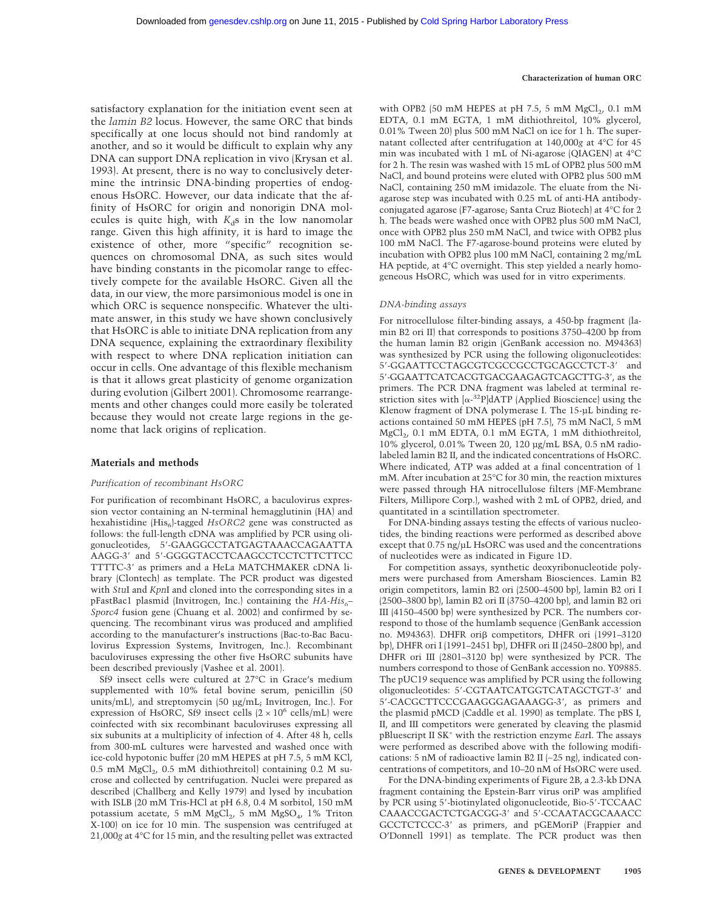satisfactory explanation for the initiation event seen at the *lamin B2* locus. However, the same ORC that binds specifically at one locus should not bind randomly at another, and so it would be difficult to explain why any DNA can support DNA replication in vivo (Krysan et al. 1993). At present, there is no way to conclusively determine the intrinsic DNA-binding properties of endogenous HsORC. However, our data indicate that the affinity of HsORC for origin and nonorigin DNA molecules is quite high, with  $K_d$ s in the low nanomolar range. Given this high affinity, it is hard to image the existence of other, more "specific" recognition sequences on chromosomal DNA, as such sites would have binding constants in the picomolar range to effectively compete for the available HsORC. Given all the data, in our view, the more parsimonious model is one in which ORC is sequence nonspecific. Whatever the ultimate answer, in this study we have shown conclusively that HsORC is able to initiate DNA replication from any DNA sequence, explaining the extraordinary flexibility with respect to where DNA replication initiation can occur in cells. One advantage of this flexible mechanism is that it allows great plasticity of genome organization during evolution (Gilbert 2001). Chromosome rearrangements and other changes could more easily be tolerated because they would not create large regions in the genome that lack origins of replication.

#### **Materials and methods**

#### *Purification of recombinant HsORC*

For purification of recombinant HsORC, a baculovirus expression vector containing an N-terminal hemagglutinin (HA) and hexahistidine (His<sub>6</sub>)-tagged *HsORC2* gene was constructed as follows: the full-length cDNA was amplified by PCR using oligonucleotides, 5-GAAGGCCTATGAGTAAACCAGAATTA AAGG-3' and 5'-GGGGTACCTCAAGCCTCCTCTTCTTCC TTTTC-3 as primers and a HeLa MATCHMAKER cDNA library (Clontech) as template. The PCR product was digested with *Stu*I and *Kpn*I and cloned into the corresponding sites in a pFastBac1 plasmid (Invitrogen, Inc.) containing the *HA-His6– Sporc4* fusion gene (Chuang et al. 2002) and confirmed by sequencing. The recombinant virus was produced and amplified according to the manufacturer's instructions (Bac-to-Bac Baculovirus Expression Systems, Invitrogen, Inc.). Recombinant baculoviruses expressing the other five HsORC subunits have been described previously (Vashee et al. 2001).

Sf9 insect cells were cultured at 27°C in Grace's medium supplemented with 10% fetal bovine serum, penicillin (50 units/mL), and streptomycin  $(50 \text{ µg/mL}$ ; Invitrogen, Inc.). For expression of HsORC, Sf9 insect cells  $(2 \times 10^6 \text{ cells/mL})$  were coinfected with six recombinant baculoviruses expressing all six subunits at a multiplicity of infection of 4. After 48 h, cells from 300-mL cultures were harvested and washed once with ice-cold hypotonic buffer (20 mM HEPES at pH 7.5, 5 mM KCl, 0.5 mM  $MgCl<sub>2</sub>$ , 0.5 mM dithiothreitol) containing 0.2 M sucrose and collected by centrifugation. Nuclei were prepared as described (Challberg and Kelly 1979) and lysed by incubation with ISLB (20 mM Tris-HCl at pH 6.8, 0.4 M sorbitol, 150 mM potassium acetate, 5 mM  $MgCl<sub>2</sub>$ , 5 mM  $MgSO<sub>4</sub>$ , 1% Triton X-100) on ice for 10 min. The suspension was centrifuged at 21,000*g* at 4°C for 15 min, and the resulting pellet was extracted

#### **Characterization of human ORC**

with OPB2 (50 mM HEPES at pH 7.5, 5 mM  $MgCl<sub>2</sub>$ , 0.1 mM EDTA, 0.1 mM EGTA, 1 mM dithiothreitol, 10% glycerol, 0.01% Tween 20) plus 500 mM NaCl on ice for 1 h. The supernatant collected after centrifugation at 140,000*g* at 4°C for 45 min was incubated with 1 mL of Ni-agarose (QIAGEN) at 4°C for 2 h. The resin was washed with 15 mL of OPB2 plus 500 mM NaCl, and bound proteins were eluted with OPB2 plus 500 mM NaCl, containing 250 mM imidazole. The eluate from the Niagarose step was incubated with 0.25 mL of anti-HA antibodyconjugated agarose (F7-agarose; Santa Cruz Biotech) at 4°C for 2 h. The beads were washed once with OPB2 plus 500 mM NaCl, once with OPB2 plus 250 mM NaCl, and twice with OPB2 plus 100 mM NaCl. The F7-agarose-bound proteins were eluted by incubation with OPB2 plus 100 mM NaCl, containing 2 mg/mL HA peptide, at 4°C overnight. This step yielded a nearly homogeneous HsORC, which was used for in vitro experiments.

#### *DNA-binding assays*

For nitrocellulose filter-binding assays, a 450-bp fragment (lamin B2 ori II) that corresponds to positions 3750–4200 bp from the human lamin B2 origin (GenBank accession no. M94363) was synthesized by PCR using the following oligonucleotides: 5-GGAATTCCTAGCGTCGCCGCCTGCAGCCTCT-3 and 5'-GGAATTCATCACGTGACGAAGAGTCAGCTTG-3', as the primers. The PCR DNA fragment was labeled at terminal restriction sites with  $\left[\alpha^{-32}P\right]$ dATP (Applied Bioscience) using the Klenow fragment of DNA polymerase I. The 15-µL binding reactions contained 50 mM HEPES (pH 7.5), 75 mM NaCl, 5 mM  $MgCl<sub>2</sub>$ , 0.1 mM EDTA, 0.1 mM EGTA, 1 mM dithiothreitol, 10% glycerol, 0.01% Tween 20, 120 µg/mL BSA, 0.5 nM radiolabeled lamin B2 II, and the indicated concentrations of HsORC. Where indicated, ATP was added at a final concentration of 1 mM. After incubation at 25°C for 30 min, the reaction mixtures were passed through HA nitrocellulose filters (MF-Membrane Filters, Millipore Corp.), washed with 2 mL of OPB2, dried, and quantitated in a scintillation spectrometer.

For DNA-binding assays testing the effects of various nucleotides, the binding reactions were performed as described above except that 0.75 ng/µL HsORC was used and the concentrations of nucleotides were as indicated in Figure 1D.

For competition assays, synthetic deoxyribonucleotide polymers were purchased from Amersham Biosciences. Lamin B2 origin competitors, lamin B2 ori (2500–4500 bp), lamin B2 ori I (2500–3800 bp), lamin B2 ori II (3750–4200 bp), and lamin B2 ori III (4150–4500 bp) were synthesized by PCR. The numbers correspond to those of the humlamb sequence (GenBank accession no. M94363). DHFR oriβ competitors, DHFR ori (1991-3120 bp), DHFR ori I (1991–2451 bp), DHFR ori II (2450–2800 bp), and DHFR ori III (2801–3120 bp) were synthesized by PCR. The numbers correspond to those of GenBank accession no. Y09885. The pUC19 sequence was amplified by PCR using the following oligonucleotides: 5'-CGTAATCATGGTCATAGCTGT-3' and 5-CACGCTTCCCGAAGGGAGAAAGG-3, as primers and the plasmid pMCD (Caddle et al. 1990) as template. The pBS I, II, and III competitors were generated by cleaving the plasmid pBluescript II SK<sup>+</sup> with the restriction enzyme *Ear*I. The assays were performed as described above with the following modifications: 5 nM of radioactive lamin B2 II (∼25 ng), indicated concentrations of competitors, and 10–20 nM of HsORC were used.

For the DNA-binding experiments of Figure 2B, a 2.3-kb DNA fragment containing the Epstein-Barr virus oriP was amplified by PCR using 5-biotinylated oligonucleotide, Bio-5-TCCAAC CAAACCGACTCTGACGG-3' and 5'-CCAATACGCAAACC GCCTCTCCC-3 as primers, and pGEMoriP (Frappier and O'Donnell 1991) as template. The PCR product was then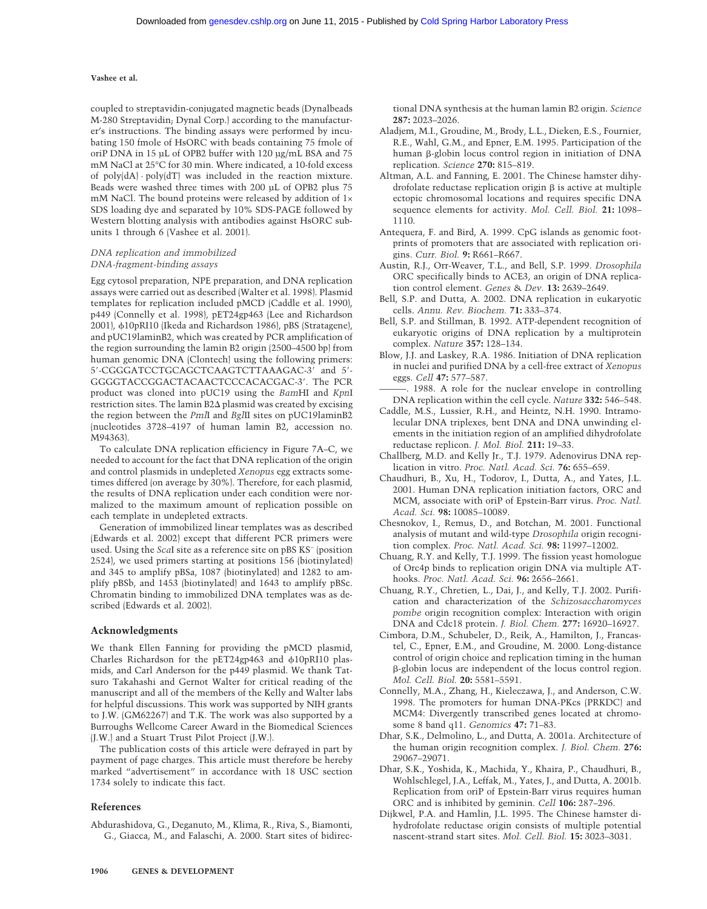coupled to streptavidin-conjugated magnetic beads (Dynalbeads M-280 Streptavidin;Dynal Corp.) according to the manufacturer's instructions. The binding assays were performed by incubating 150 fmole of HsORC with beads containing 75 fmole of oriP DNA in 15 µL of OPB2 buffer with 120 µg/mL BSA and 75 mM NaCl at 25°C for 30 min. Where indicated, a 10-fold excess of poly(dA) · poly(dT) was included in the reaction mixture. Beads were washed three times with 200 µL of OPB2 plus 75 mM NaCl. The bound proteins were released by addition of  $1 \times$ SDS loading dye and separated by 10% SDS-PAGE followed by Western blotting analysis with antibodies against HsORC subunits 1 through 6 (Vashee et al. 2001).

#### *DNA replication and immobilized DNA-fragment-binding assays*

Egg cytosol preparation, NPE preparation, and DNA replication assays were carried out as described (Walter et al. 1998). Plasmid templates for replication included pMCD (Caddle et al. 1990), p449 (Connelly et al. 1998), pET24gp463 (Lee and Richardson 2001),  $\phi$ 10pRI10 (Ikeda and Richardson 1986), pBS (Stratagene), and pUC19laminB2, which was created by PCR amplification of the region surrounding the lamin B2 origin (2500–4500 bp) from human genomic DNA (Clontech) using the following primers: 5'-CGGGATCCTGCAGCTCAAGTCTTAAAGAC-3' and 5'-GGGGTACCGGACTACAACTCCCACACGAC-3'. The PCR product was cloned into pUC19 using the *Bam*HI and *Kpn*I restriction sites. The lamin B2 $\Delta$  plasmid was created by excising the region between the *Pml*I and *Bgl*II sites on pUC19laminB2 (nucleotides 3728–4197 of human lamin B2, accession no. M94363).

To calculate DNA replication efficiency in Figure 7A–C, we needed to account for the fact that DNA replication of the origin and control plasmids in undepleted *Xenopus* egg extracts sometimes differed (on average by 30%). Therefore, for each plasmid, the results of DNA replication under each condition were normalized to the maximum amount of replication possible on each template in undepleted extracts.

Generation of immobilized linear templates was as described (Edwards et al. 2002) except that different PCR primers were used. Using the *Sca*I site as a reference site on pBS KS<sup>−</sup> (position 2524), we used primers starting at positions 156 (biotinylated) and 345 to amplify pBSa, 1087 (biotinylated) and 1282 to amplify pBSb, and 1453 (biotinylated) and 1643 to amplify pBSc. Chromatin binding to immobilized DNA templates was as described (Edwards et al. 2002).

#### **Acknowledgments**

We thank Ellen Fanning for providing the pMCD plasmid, Charles Richardson for the pET24gp463 and  $\phi$ 10pRI10 plasmids, and Carl Anderson for the p449 plasmid. We thank Tatsuro Takahashi and Gernot Walter for critical reading of the manuscript and all of the members of the Kelly and Walter labs for helpful discussions. This work was supported by NIH grants to J.W. (GM62267) and T.K. The work was also supported by a Burroughs Wellcome Career Award in the Biomedical Sciences (J.W.) and a Stuart Trust Pilot Project (J.W.).

The publication costs of this article were defrayed in part by payment of page charges. This article must therefore be hereby marked "advertisement" in accordance with 18 USC section 1734 solely to indicate this fact.

#### **References**

Abdurashidova, G., Deganuto, M., Klima, R., Riva, S., Biamonti, G., Giacca, M., and Falaschi, A. 2000. Start sites of bidirec-

tional DNA synthesis at the human lamin B2 origin. *Science* **287:** 2023–2026.

- Aladjem, M.I., Groudine, M., Brody, L.L., Dieken, E.S., Fournier, R.E., Wahl, G.M., and Epner, E.M. 1995. Participation of the human  $\beta$ -globin locus control region in initiation of DNA replication. *Science* **270:** 815–819.
- Altman, A.L. and Fanning, E. 2001. The Chinese hamster dihydrofolate reductase replication origin  $\beta$  is active at multiple ectopic chromosomal locations and requires specific DNA sequence elements for activity. *Mol. Cell. Biol.* **21:** 1098– 1110.
- Antequera, F. and Bird, A. 1999. CpG islands as genomic footprints of promoters that are associated with replication origins. *Curr. Biol.* **9:** R661–R667.
- Austin, R.J., Orr-Weaver, T.L., and Bell, S.P. 1999. *Drosophila* ORC specifically binds to ACE3, an origin of DNA replication control element. *Genes* & *Dev.* **13:** 2639–2649.
- Bell, S.P. and Dutta, A. 2002. DNA replication in eukaryotic cells. *Annu. Rev. Biochem.* **71:** 333–374.
- Bell, S.P. and Stillman, B. 1992. ATP-dependent recognition of eukaryotic origins of DNA replication by a multiprotein complex. *Nature* **357:** 128–134.
- Blow, J.J. and Laskey, R.A. 1986. Initiation of DNA replication in nuclei and purified DNA by a cell-free extract of *Xenopus* eggs. *Cell* **47:** 577–587.
- . 1988. A role for the nuclear envelope in controlling DNA replication within the cell cycle. *Nature* **332:** 546–548.
- Caddle, M.S., Lussier, R.H., and Heintz, N.H. 1990. Intramolecular DNA triplexes, bent DNA and DNA unwinding elements in the initiation region of an amplified dihydrofolate reductase replicon. *J. Mol. Biol.* **211:** 19–33.
- Challberg, M.D. and Kelly Jr., T.J. 1979. Adenovirus DNA replication in vitro. *Proc. Natl. Acad. Sci.* **76:** 655–659.
- Chaudhuri, B., Xu, H., Todorov, I., Dutta, A., and Yates, J.L. 2001. Human DNA replication initiation factors, ORC and MCM, associate with oriP of Epstein-Barr virus. *Proc. Natl. Acad. Sci.* **98:** 10085–10089.
- Chesnokov, I., Remus, D., and Botchan, M. 2001. Functional analysis of mutant and wild-type *Drosophila* origin recognition complex. *Proc. Natl. Acad. Sci.* **98:** 11997–12002.
- Chuang, R.Y. and Kelly, T.J. 1999. The fission yeast homologue of Orc4p binds to replication origin DNA via multiple AThooks. *Proc. Natl. Acad. Sci.* **96:** 2656–2661.
- Chuang, R.Y., Chretien, L., Dai, J., and Kelly, T.J. 2002. Purification and characterization of the *Schizosaccharomyces pombe* origin recognition complex: Interaction with origin DNA and Cdc18 protein. *J. Biol. Chem.* **277:** 16920–16927.
- Cimbora, D.M., Schubeler, D., Reik, A., Hamilton, J., Francastel, C., Epner, E.M., and Groudine, M. 2000. Long-distance control of origin choice and replication timing in the human -globin locus are independent of the locus control region. *Mol. Cell. Biol.* **20:** 5581–5591.
- Connelly, M.A., Zhang, H., Kieleczawa, J., and Anderson, C.W. 1998. The promoters for human DNA-PKcs (PRKDC) and MCM4: Divergently transcribed genes located at chromosome 8 band q11. *Genomics* **47:** 71–83.
- Dhar, S.K., Delmolino, L., and Dutta, A. 2001a. Architecture of the human origin recognition complex. *J. Biol. Chem.* **276:** 29067–29071.
- Dhar, S.K., Yoshida, K., Machida, Y., Khaira, P., Chaudhuri, B., Wohlschlegel, J.A., Leffak, M., Yates, J., and Dutta, A. 2001b. Replication from oriP of Epstein-Barr virus requires human ORC and is inhibited by geminin. *Cell* **106:** 287–296.
- Dijkwel, P.A. and Hamlin, J.L. 1995. The Chinese hamster dihydrofolate reductase origin consists of multiple potential nascent-strand start sites. *Mol. Cell. Biol.* **15:** 3023–3031.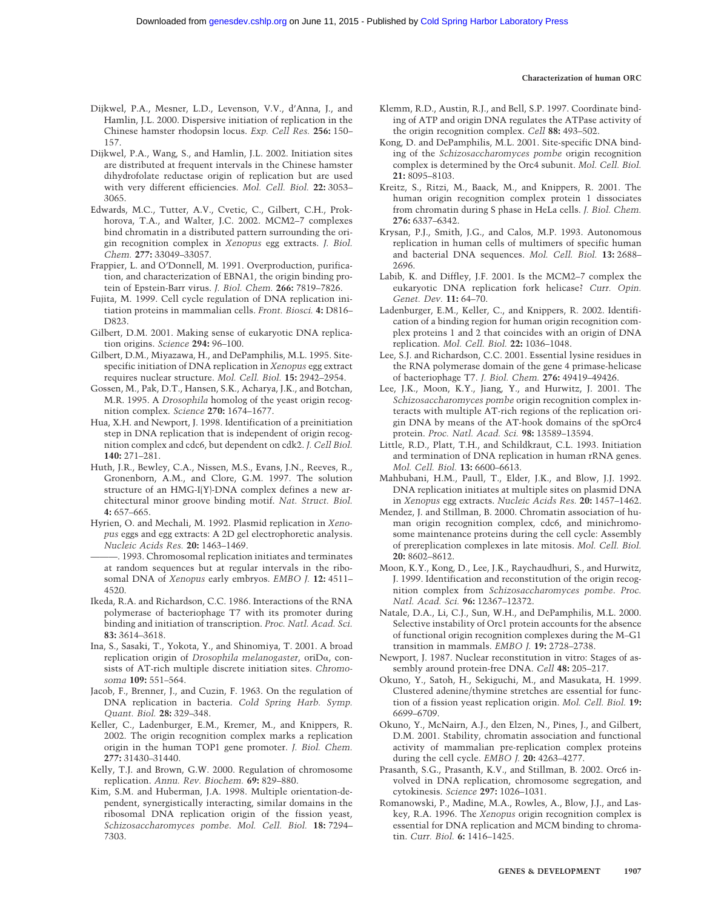#### **Characterization of human ORC**

- Dijkwel, P.A., Mesner, L.D., Levenson, V.V., d'Anna, J., and Hamlin, J.L. 2000. Dispersive initiation of replication in the Chinese hamster rhodopsin locus. *Exp. Cell Res.* **256:** 150– 157.
- Dijkwel, P.A., Wang, S., and Hamlin, J.L. 2002. Initiation sites are distributed at frequent intervals in the Chinese hamster dihydrofolate reductase origin of replication but are used with very different efficiencies. *Mol. Cell. Biol.* **22:** 3053– 3065.
- Edwards, M.C., Tutter, A.V., Cvetic, C., Gilbert, C.H., Prokhorova, T.A., and Walter, J.C. 2002. MCM2–7 complexes bind chromatin in a distributed pattern surrounding the origin recognition complex in *Xenopus* egg extracts. *J. Biol. Chem.* **277:** 33049–33057.
- Frappier, L. and O'Donnell, M. 1991. Overproduction, purification, and characterization of EBNA1, the origin binding protein of Epstein-Barr virus. *J. Biol. Chem.* **266:** 7819–7826.
- Fujita, M. 1999. Cell cycle regulation of DNA replication initiation proteins in mammalian cells. *Front. Biosci.* **4:** D816– D823.
- Gilbert, D.M. 2001. Making sense of eukaryotic DNA replication origins. *Science* **294:** 96–100.
- Gilbert, D.M., Miyazawa, H., and DePamphilis, M.L. 1995. Sitespecific initiation of DNA replication in *Xenopus* egg extract requires nuclear structure. *Mol. Cell. Biol.* **15:** 2942–2954.
- Gossen, M., Pak, D.T., Hansen, S.K., Acharya, J.K., and Botchan, M.R. 1995. A *Drosophila* homolog of the yeast origin recognition complex. *Science* **270:** 1674–1677.
- Hua, X.H. and Newport, J. 1998. Identification of a preinitiation step in DNA replication that is independent of origin recognition complex and cdc6, but dependent on cdk2. *J. Cell Biol.* **140:** 271–281.
- Huth, J.R., Bewley, C.A., Nissen, M.S., Evans, J.N., Reeves, R., Gronenborn, A.M., and Clore, G.M. 1997. The solution structure of an HMG-I(Y)-DNA complex defines a new architectural minor groove binding motif. *Nat. Struct. Biol.* **4:** 657–665.
- Hyrien, O. and Mechali, M. 1992. Plasmid replication in *Xenopus* eggs and egg extracts: A 2D gel electrophoretic analysis. *Nucleic Acids Res.* **20:** 1463–1469.
- -. 1993. Chromosomal replication initiates and terminates at random sequences but at regular intervals in the ribosomal DNA of *Xenopus* early embryos. *EMBO J.* **12:** 4511– 4520.
- Ikeda, R.A. and Richardson, C.C. 1986. Interactions of the RNA polymerase of bacteriophage T7 with its promoter during binding and initiation of transcription. *Proc. Natl. Acad. Sci.* **83:** 3614–3618.
- Ina, S., Sasaki, T., Yokota, Y., and Shinomiya, T. 2001. A broad replication origin of *Drosophila melanogaster*, oriD<sub> $\alpha$ </sub>, consists of AT-rich multiple discrete initiation sites. *Chromosoma* **109:** 551–564.
- Jacob, F., Brenner, J., and Cuzin, F. 1963. On the regulation of DNA replication in bacteria. *Cold Spring Harb. Symp. Quant. Biol.* **28:** 329–348.
- Keller, C., Ladenburger, E.M., Kremer, M., and Knippers, R. 2002. The origin recognition complex marks a replication origin in the human TOP1 gene promoter. *J. Biol. Chem.* **277:** 31430–31440.
- Kelly, T.J. and Brown, G.W. 2000. Regulation of chromosome replication. *Annu. Rev. Biochem.* **69:** 829–880.
- Kim, S.M. and Huberman, J.A. 1998. Multiple orientation-dependent, synergistically interacting, similar domains in the ribosomal DNA replication origin of the fission yeast, *Schizosaccharomyces pombe*. *Mol. Cell. Biol.* **18:** 7294– 7303.
- Klemm, R.D., Austin, R.J., and Bell, S.P. 1997. Coordinate binding of ATP and origin DNA regulates the ATPase activity of the origin recognition complex. *Cell* **88:** 493–502.
- Kong, D. and DePamphilis, M.L. 2001. Site-specific DNA binding of the *Schizosaccharomyces pombe* origin recognition complex is determined by the Orc4 subunit. *Mol. Cell. Biol.* **21:** 8095–8103.
- Kreitz, S., Ritzi, M., Baack, M., and Knippers, R. 2001. The human origin recognition complex protein 1 dissociates from chromatin during S phase in HeLa cells. *J. Biol. Chem.* **276:** 6337–6342.
- Krysan, P.J., Smith, J.G., and Calos, M.P. 1993. Autonomous replication in human cells of multimers of specific human and bacterial DNA sequences. *Mol. Cell. Biol.* **13:** 2688– 2696.
- Labib, K. and Diffley, J.F. 2001. Is the MCM2–7 complex the eukaryotic DNA replication fork helicase? *Curr. Opin. Genet. Dev.* **11:** 64–70.
- Ladenburger, E.M., Keller, C., and Knippers, R. 2002. Identification of a binding region for human origin recognition complex proteins 1 and 2 that coincides with an origin of DNA replication. *Mol. Cell. Biol.* **22:** 1036–1048.
- Lee, S.J. and Richardson, C.C. 2001. Essential lysine residues in the RNA polymerase domain of the gene 4 primase-helicase of bacteriophage T7. *J. Biol. Chem.* **276:** 49419–49426.
- Lee, J.K., Moon, K.Y., Jiang, Y., and Hurwitz, J. 2001. The *Schizosaccharomyces pombe* origin recognition complex interacts with multiple AT-rich regions of the replication origin DNA by means of the AT-hook domains of the spOrc4 protein. *Proc. Natl. Acad. Sci.* **98:** 13589–13594.
- Little, R.D., Platt, T.H., and Schildkraut, C.L. 1993. Initiation and termination of DNA replication in human rRNA genes. *Mol. Cell. Biol.* **13:** 6600–6613.
- Mahbubani, H.M., Paull, T., Elder, J.K., and Blow, J.J. 1992. DNA replication initiates at multiple sites on plasmid DNA in *Xenopus* egg extracts. *Nucleic Acids Res.* **20:** 1457–1462.
- Mendez, J. and Stillman, B. 2000. Chromatin association of human origin recognition complex, cdc6, and minichromosome maintenance proteins during the cell cycle: Assembly of prereplication complexes in late mitosis. *Mol. Cell. Biol.* **20:** 8602–8612.
- Moon, K.Y., Kong, D., Lee, J.K., Raychaudhuri, S., and Hurwitz, J. 1999. Identification and reconstitution of the origin recognition complex from *Schizosaccharomyces pombe*. *Proc. Natl. Acad. Sci.* **96:** 12367–12372.
- Natale, D.A., Li, C.J., Sun, W.H., and DePamphilis, M.L. 2000. Selective instability of Orc1 protein accounts for the absence of functional origin recognition complexes during the M–G1 transition in mammals. *EMBO J.* **19:** 2728–2738.
- Newport, J. 1987. Nuclear reconstitution in vitro: Stages of assembly around protein-free DNA. *Cell* **48:** 205–217.
- Okuno, Y., Satoh, H., Sekiguchi, M., and Masukata, H. 1999. Clustered adenine/thymine stretches are essential for function of a fission yeast replication origin. *Mol. Cell. Biol.* **19:** 6699–6709.
- Okuno, Y., McNairn, A.J., den Elzen, N., Pines, J., and Gilbert, D.M. 2001. Stability, chromatin association and functional activity of mammalian pre-replication complex proteins during the cell cycle. *EMBO J.* **20:** 4263–4277.
- Prasanth, S.G., Prasanth, K.V., and Stillman, B. 2002. Orc6 involved in DNA replication, chromosome segregation, and cytokinesis. *Science* **297:** 1026–1031.
- Romanowski, P., Madine, M.A., Rowles, A., Blow, J.J., and Laskey, R.A. 1996. The *Xenopus* origin recognition complex is essential for DNA replication and MCM binding to chromatin. *Curr. Biol.* **6:** 1416–1425.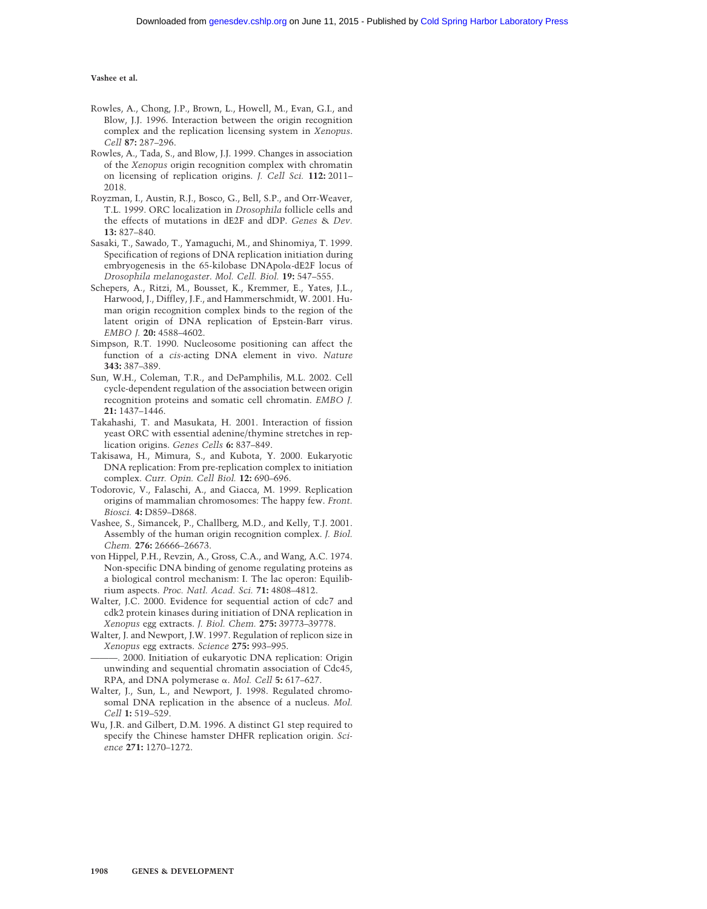- Rowles, A., Chong, J.P., Brown, L., Howell, M., Evan, G.I., and Blow, J.J. 1996. Interaction between the origin recognition complex and the replication licensing system in *Xenopus*. *Cell* **87:** 287–296.
- Rowles, A., Tada, S., and Blow, J.J. 1999. Changes in association of the *Xenopus* origin recognition complex with chromatin on licensing of replication origins. *J. Cell Sci.* **112:** 2011– 2018.
- Royzman, I., Austin, R.J., Bosco, G., Bell, S.P., and Orr-Weaver, T.L. 1999. ORC localization in *Drosophila* follicle cells and the effects of mutations in dE2F and dDP. *Genes* & *Dev.* **13:** 827–840.
- Sasaki, T., Sawado, T., Yamaguchi, M., and Shinomiya, T. 1999. Specification of regions of DNA replication initiation during embryogenesis in the 65-kilobase  $DNApola$ -dE2F locus of *Drosophila melanogaster*. *Mol. Cell. Biol.* **19:** 547–555.
- Schepers, A., Ritzi, M., Bousset, K., Kremmer, E., Yates, J.L., Harwood, J., Diffley, J.F., and Hammerschmidt, W. 2001. Human origin recognition complex binds to the region of the latent origin of DNA replication of Epstein-Barr virus. *EMBO J.* **20:** 4588–4602.
- Simpson, R.T. 1990. Nucleosome positioning can affect the function of a *cis*-acting DNA element in vivo. *Nature* **343:** 387–389.
- Sun, W.H., Coleman, T.R., and DePamphilis, M.L. 2002. Cell cycle-dependent regulation of the association between origin recognition proteins and somatic cell chromatin. *EMBO J.* **21:** 1437–1446.
- Takahashi, T. and Masukata, H. 2001. Interaction of fission yeast ORC with essential adenine/thymine stretches in replication origins. *Genes Cells* **6:** 837–849.
- Takisawa, H., Mimura, S., and Kubota, Y. 2000. Eukaryotic DNA replication: From pre-replication complex to initiation complex. *Curr. Opin. Cell Biol.* **12:** 690–696.
- Todorovic, V., Falaschi, A., and Giacca, M. 1999. Replication origins of mammalian chromosomes: The happy few. *Front. Biosci.* **4:** D859–D868.
- Vashee, S., Simancek, P., Challberg, M.D., and Kelly, T.J. 2001. Assembly of the human origin recognition complex. *J. Biol. Chem.* **276:** 26666–26673.
- von Hippel, P.H., Revzin, A., Gross, C.A., and Wang, A.C. 1974. Non-specific DNA binding of genome regulating proteins as a biological control mechanism: I. The lac operon: Equilibrium aspects. *Proc. Natl. Acad. Sci.* **71:** 4808–4812.
- Walter, J.C. 2000. Evidence for sequential action of cdc7 and cdk2 protein kinases during initiation of DNA replication in *Xenopus* egg extracts. *J. Biol. Chem.* **275:** 39773–39778.
- Walter, J. and Newport, J.W. 1997. Regulation of replicon size in *Xenopus* egg extracts. *Science* **275:** 993–995.
- -. 2000. Initiation of eukaryotic DNA replication: Origin unwinding and sequential chromatin association of Cdc45, RPA, and DNA polymerase α. *Mol. Cell* 5: 617-627.
- Walter, J., Sun, L., and Newport, J. 1998. Regulated chromosomal DNA replication in the absence of a nucleus. *Mol. Cell* **1:** 519–529.
- Wu, J.R. and Gilbert, D.M. 1996. A distinct G1 step required to specify the Chinese hamster DHFR replication origin. *Science* **271:** 1270–1272.